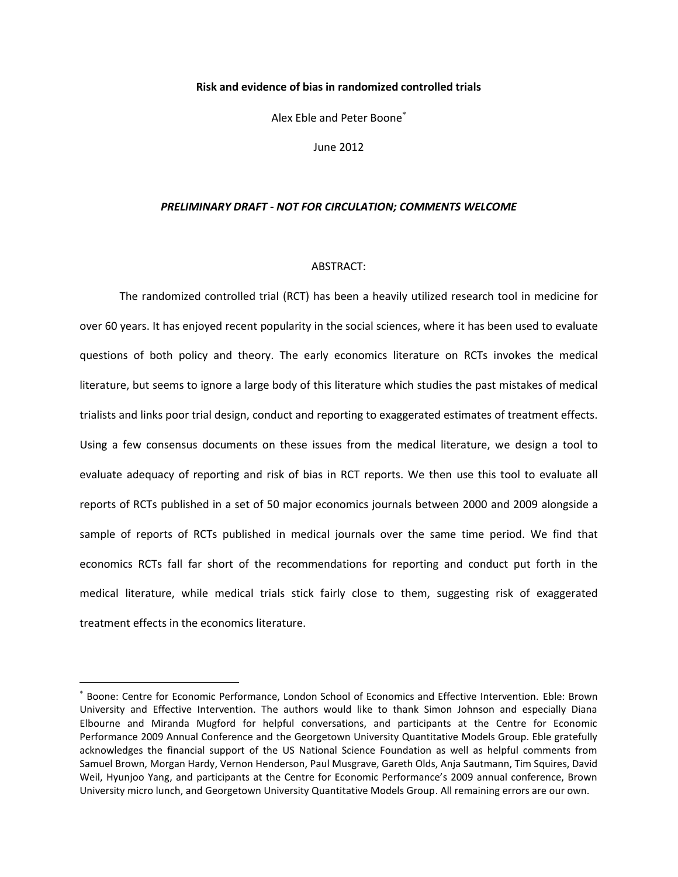#### **Risk and evidence of bias in randomized controlled trials**

Alex Eble and Peter Boone

June 2012

#### *PRELIMINARY DRAFT - NOT FOR CIRCULATION; COMMENTS WELCOME*

#### ABSTRACT:

The randomized controlled trial (RCT) has been a heavily utilized research tool in medicine for over 60 years. It has enjoyed recent popularity in the social sciences, where it has been used to evaluate questions of both policy and theory. The early economics literature on RCTs invokes the medical literature, but seems to ignore a large body of this literature which studies the past mistakes of medical trialists and links poor trial design, conduct and reporting to exaggerated estimates of treatment effects. Using a few consensus documents on these issues from the medical literature, we design a tool to evaluate adequacy of reporting and risk of bias in RCT reports. We then use this tool to evaluate all reports of RCTs published in a set of 50 major economics journals between 2000 and 2009 alongside a sample of reports of RCTs published in medical journals over the same time period. We find that economics RCTs fall far short of the recommendations for reporting and conduct put forth in the medical literature, while medical trials stick fairly close to them, suggesting risk of exaggerated treatment effects in the economics literature.

 $\overline{\phantom{a}}$ 

<sup>\*</sup> Boone: Centre for Economic Performance, London School of Economics and Effective Intervention. Eble: Brown University and Effective Intervention. The authors would like to thank Simon Johnson and especially Diana Elbourne and Miranda Mugford for helpful conversations, and participants at the Centre for Economic Performance 2009 Annual Conference and the Georgetown University Quantitative Models Group. Eble gratefully acknowledges the financial support of the US National Science Foundation as well as helpful comments from Samuel Brown, Morgan Hardy, Vernon Henderson, Paul Musgrave, Gareth Olds, Anja Sautmann, Tim Squires, David Weil, Hyunjoo Yang, and participants at the Centre for Economic Performance's 2009 annual conference, Brown University micro lunch, and Georgetown University Quantitative Models Group. All remaining errors are our own.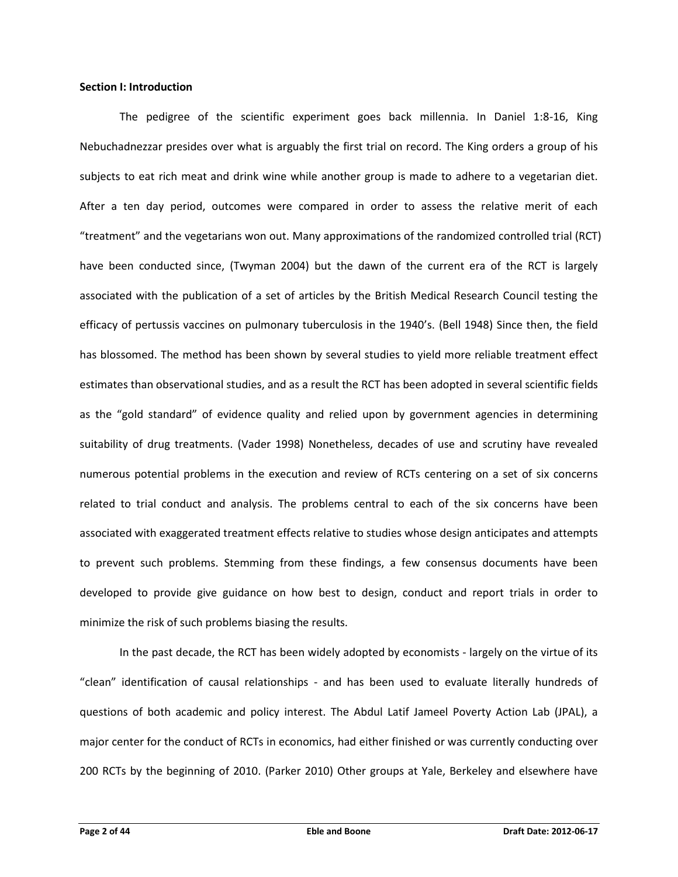### **Section I: Introduction**

The pedigree of the scientific experiment goes back millennia. In Daniel 1:8-16, King Nebuchadnezzar presides over what is arguably the first trial on record. The King orders a group of his subjects to eat rich meat and drink wine while another group is made to adhere to a vegetarian diet. After a ten day period, outcomes were compared in order to assess the relative merit of each "treatment" and the vegetarians won out. Many approximations of the randomized controlled trial (RCT) have been conducted since, (Twyman 2004) but the dawn of the current era of the RCT is largely associated with the publication of a set of articles by the British Medical Research Council testing the efficacy of pertussis vaccines on pulmonary tuberculosis in the 1940's. (Bell 1948) Since then, the field has blossomed. The method has been shown by several studies to yield more reliable treatment effect estimates than observational studies, and as a result the RCT has been adopted in several scientific fields as the "gold standard" of evidence quality and relied upon by government agencies in determining suitability of drug treatments. (Vader 1998) Nonetheless, decades of use and scrutiny have revealed numerous potential problems in the execution and review of RCTs centering on a set of six concerns related to trial conduct and analysis. The problems central to each of the six concerns have been associated with exaggerated treatment effects relative to studies whose design anticipates and attempts to prevent such problems. Stemming from these findings, a few consensus documents have been developed to provide give guidance on how best to design, conduct and report trials in order to minimize the risk of such problems biasing the results.

In the past decade, the RCT has been widely adopted by economists - largely on the virtue of its "clean" identification of causal relationships - and has been used to evaluate literally hundreds of questions of both academic and policy interest. The Abdul Latif Jameel Poverty Action Lab (JPAL), a major center for the conduct of RCTs in economics, had either finished or was currently conducting over 200 RCTs by the beginning of 2010. (Parker 2010) Other groups at Yale, Berkeley and elsewhere have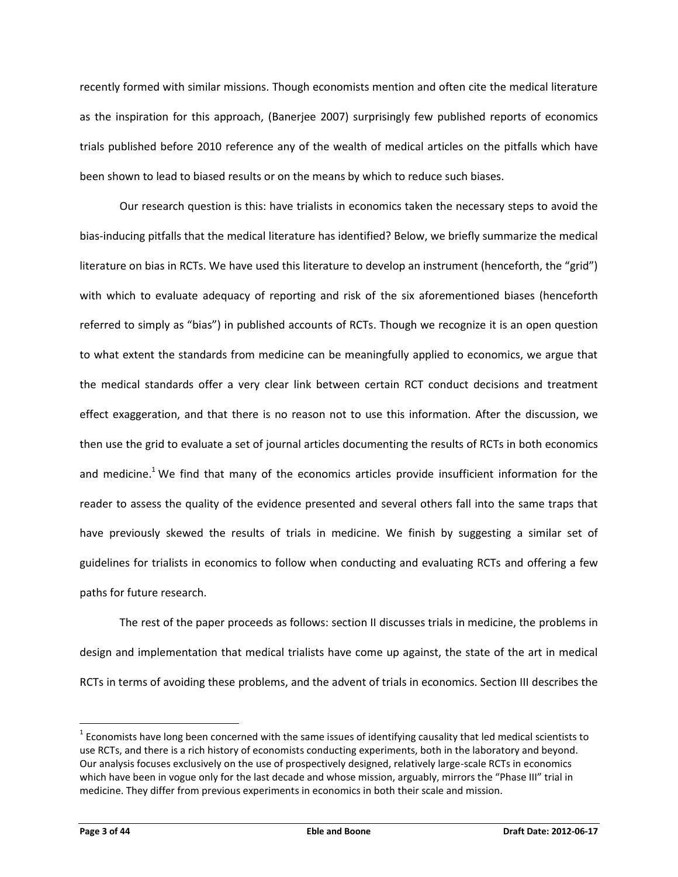recently formed with similar missions. Though economists mention and often cite the medical literature as the inspiration for this approach, (Banerjee 2007) surprisingly few published reports of economics trials published before 2010 reference any of the wealth of medical articles on the pitfalls which have been shown to lead to biased results or on the means by which to reduce such biases.

Our research question is this: have trialists in economics taken the necessary steps to avoid the bias-inducing pitfalls that the medical literature has identified? Below, we briefly summarize the medical literature on bias in RCTs. We have used this literature to develop an instrument (henceforth, the "grid") with which to evaluate adequacy of reporting and risk of the six aforementioned biases (henceforth referred to simply as "bias") in published accounts of RCTs. Though we recognize it is an open question to what extent the standards from medicine can be meaningfully applied to economics, we argue that the medical standards offer a very clear link between certain RCT conduct decisions and treatment effect exaggeration, and that there is no reason not to use this information. After the discussion, we then use the grid to evaluate a set of journal articles documenting the results of RCTs in both economics and medicine.<sup>1</sup> We find that many of the economics articles provide insufficient information for the reader to assess the quality of the evidence presented and several others fall into the same traps that have previously skewed the results of trials in medicine. We finish by suggesting a similar set of guidelines for trialists in economics to follow when conducting and evaluating RCTs and offering a few paths for future research.

The rest of the paper proceeds as follows: section II discusses trials in medicine, the problems in design and implementation that medical trialists have come up against, the state of the art in medical RCTs in terms of avoiding these problems, and the advent of trials in economics. Section III describes the

l

 $^1$  Economists have long been concerned with the same issues of identifying causality that led medical scientists to use RCTs, and there is a rich history of economists conducting experiments, both in the laboratory and beyond. Our analysis focuses exclusively on the use of prospectively designed, relatively large-scale RCTs in economics which have been in vogue only for the last decade and whose mission, arguably, mirrors the "Phase III" trial in medicine. They differ from previous experiments in economics in both their scale and mission.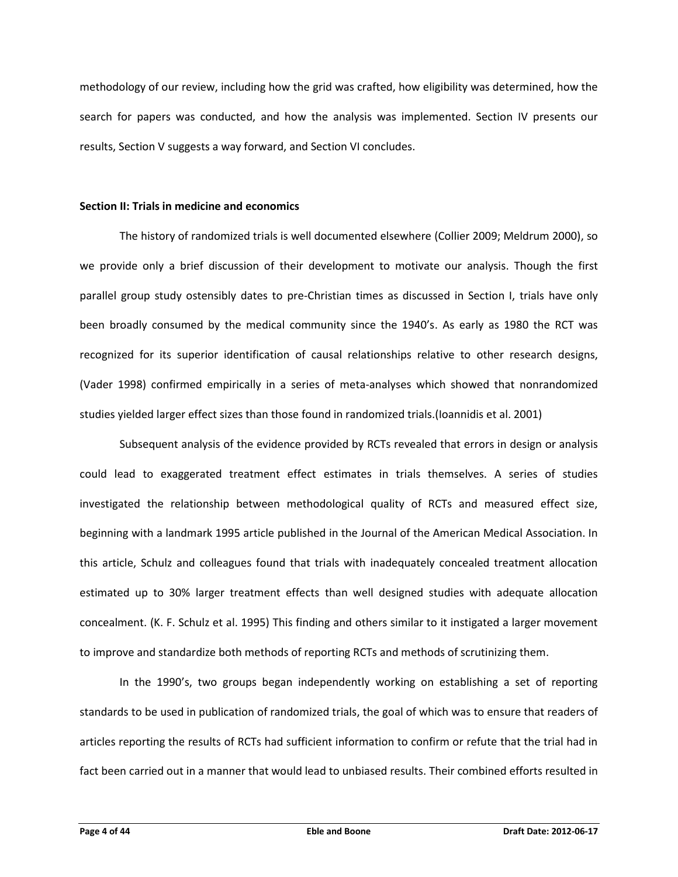methodology of our review, including how the grid was crafted, how eligibility was determined, how the search for papers was conducted, and how the analysis was implemented. Section IV presents our results, Section V suggests a way forward, and Section VI concludes.

# **Section II: Trials in medicine and economics**

The history of randomized trials is well documented elsewhere (Collier 2009; Meldrum 2000), so we provide only a brief discussion of their development to motivate our analysis. Though the first parallel group study ostensibly dates to pre-Christian times as discussed in Section I, trials have only been broadly consumed by the medical community since the 1940's. As early as 1980 the RCT was recognized for its superior identification of causal relationships relative to other research designs, (Vader 1998) confirmed empirically in a series of meta-analyses which showed that nonrandomized studies yielded larger effect sizes than those found in randomized trials.(Ioannidis et al. 2001)

Subsequent analysis of the evidence provided by RCTs revealed that errors in design or analysis could lead to exaggerated treatment effect estimates in trials themselves. A series of studies investigated the relationship between methodological quality of RCTs and measured effect size, beginning with a landmark 1995 article published in the Journal of the American Medical Association. In this article, Schulz and colleagues found that trials with inadequately concealed treatment allocation estimated up to 30% larger treatment effects than well designed studies with adequate allocation concealment. (K. F. Schulz et al. 1995) This finding and others similar to it instigated a larger movement to improve and standardize both methods of reporting RCTs and methods of scrutinizing them.

In the 1990's, two groups began independently working on establishing a set of reporting standards to be used in publication of randomized trials, the goal of which was to ensure that readers of articles reporting the results of RCTs had sufficient information to confirm or refute that the trial had in fact been carried out in a manner that would lead to unbiased results. Their combined efforts resulted in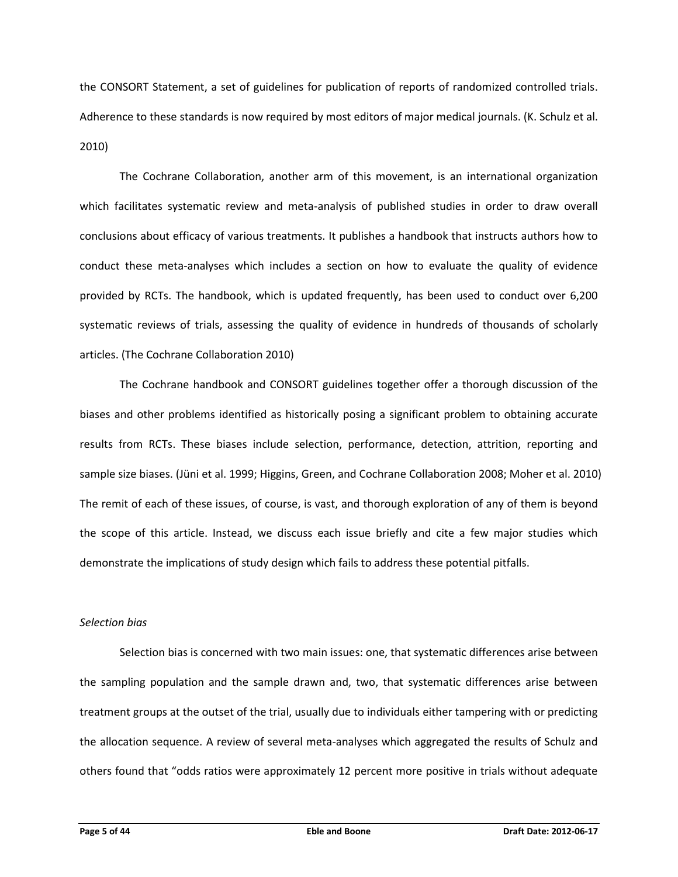the CONSORT Statement, a set of guidelines for publication of reports of randomized controlled trials. Adherence to these standards is now required by most editors of major medical journals. (K. Schulz et al. 2010)

The Cochrane Collaboration, another arm of this movement, is an international organization which facilitates systematic review and meta-analysis of published studies in order to draw overall conclusions about efficacy of various treatments. It publishes a handbook that instructs authors how to conduct these meta-analyses which includes a section on how to evaluate the quality of evidence provided by RCTs. The handbook, which is updated frequently, has been used to conduct over 6,200 systematic reviews of trials, assessing the quality of evidence in hundreds of thousands of scholarly articles. (The Cochrane Collaboration 2010)

The Cochrane handbook and CONSORT guidelines together offer a thorough discussion of the biases and other problems identified as historically posing a significant problem to obtaining accurate results from RCTs. These biases include selection, performance, detection, attrition, reporting and sample size biases. (Jüni et al. 1999; Higgins, Green, and Cochrane Collaboration 2008; Moher et al. 2010) The remit of each of these issues, of course, is vast, and thorough exploration of any of them is beyond the scope of this article. Instead, we discuss each issue briefly and cite a few major studies which demonstrate the implications of study design which fails to address these potential pitfalls.

# *Selection bias*

Selection bias is concerned with two main issues: one, that systematic differences arise between the sampling population and the sample drawn and, two, that systematic differences arise between treatment groups at the outset of the trial, usually due to individuals either tampering with or predicting the allocation sequence. A review of several meta-analyses which aggregated the results of Schulz and others found that "odds ratios were approximately 12 percent more positive in trials without adequate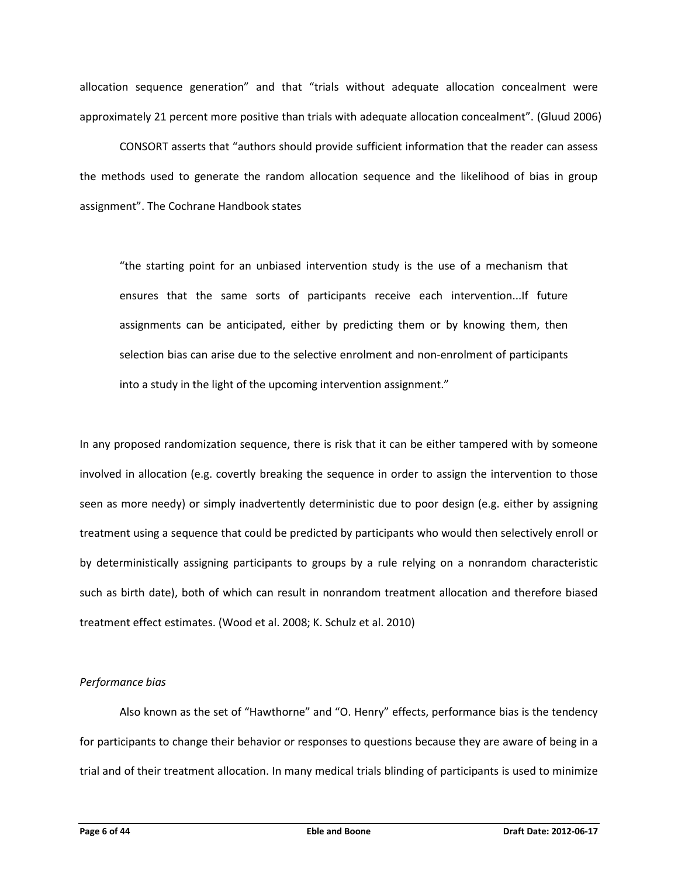allocation sequence generation" and that "trials without adequate allocation concealment were approximately 21 percent more positive than trials with adequate allocation concealment". (Gluud 2006)

CONSORT asserts that "authors should provide sufficient information that the reader can assess the methods used to generate the random allocation sequence and the likelihood of bias in group assignment". The Cochrane Handbook states

"the starting point for an unbiased intervention study is the use of a mechanism that ensures that the same sorts of participants receive each intervention...If future assignments can be anticipated, either by predicting them or by knowing them, then selection bias can arise due to the selective enrolment and non-enrolment of participants into a study in the light of the upcoming intervention assignment."

In any proposed randomization sequence, there is risk that it can be either tampered with by someone involved in allocation (e.g. covertly breaking the sequence in order to assign the intervention to those seen as more needy) or simply inadvertently deterministic due to poor design (e.g. either by assigning treatment using a sequence that could be predicted by participants who would then selectively enroll or by deterministically assigning participants to groups by a rule relying on a nonrandom characteristic such as birth date), both of which can result in nonrandom treatment allocation and therefore biased treatment effect estimates. (Wood et al. 2008; K. Schulz et al. 2010)

# *Performance bias*

Also known as the set of "Hawthorne" and "O. Henry" effects, performance bias is the tendency for participants to change their behavior or responses to questions because they are aware of being in a trial and of their treatment allocation. In many medical trials blinding of participants is used to minimize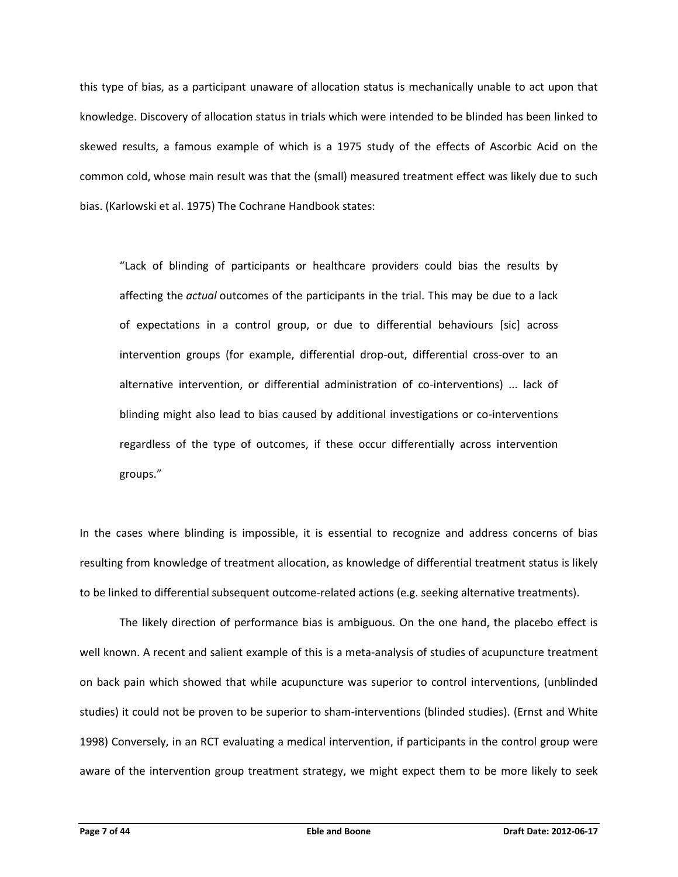this type of bias, as a participant unaware of allocation status is mechanically unable to act upon that knowledge. Discovery of allocation status in trials which were intended to be blinded has been linked to skewed results, a famous example of which is a 1975 study of the effects of Ascorbic Acid on the common cold, whose main result was that the (small) measured treatment effect was likely due to such bias. (Karlowski et al. 1975) The Cochrane Handbook states:

"Lack of blinding of participants or healthcare providers could bias the results by affecting the *actual* outcomes of the participants in the trial. This may be due to a lack of expectations in a control group, or due to differential behaviours [sic] across intervention groups (for example, differential drop-out, differential cross-over to an alternative intervention, or differential administration of co-interventions) ... lack of blinding might also lead to bias caused by additional investigations or co-interventions regardless of the type of outcomes, if these occur differentially across intervention groups."

In the cases where blinding is impossible, it is essential to recognize and address concerns of bias resulting from knowledge of treatment allocation, as knowledge of differential treatment status is likely to be linked to differential subsequent outcome-related actions (e.g. seeking alternative treatments).

The likely direction of performance bias is ambiguous. On the one hand, the placebo effect is well known. A recent and salient example of this is a meta-analysis of studies of acupuncture treatment on back pain which showed that while acupuncture was superior to control interventions, (unblinded studies) it could not be proven to be superior to sham-interventions (blinded studies). (Ernst and White 1998) Conversely, in an RCT evaluating a medical intervention, if participants in the control group were aware of the intervention group treatment strategy, we might expect them to be more likely to seek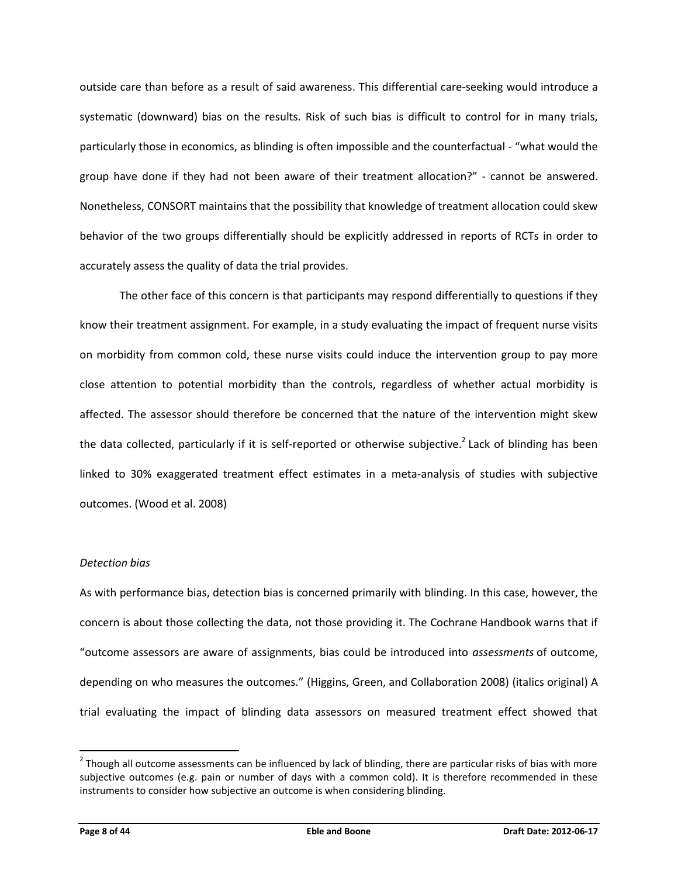outside care than before as a result of said awareness. This differential care-seeking would introduce a systematic (downward) bias on the results. Risk of such bias is difficult to control for in many trials, particularly those in economics, as blinding is often impossible and the counterfactual - "what would the group have done if they had not been aware of their treatment allocation?" - cannot be answered. Nonetheless, CONSORT maintains that the possibility that knowledge of treatment allocation could skew behavior of the two groups differentially should be explicitly addressed in reports of RCTs in order to accurately assess the quality of data the trial provides.

The other face of this concern is that participants may respond differentially to questions if they know their treatment assignment. For example, in a study evaluating the impact of frequent nurse visits on morbidity from common cold, these nurse visits could induce the intervention group to pay more close attention to potential morbidity than the controls, regardless of whether actual morbidity is affected. The assessor should therefore be concerned that the nature of the intervention might skew the data collected, particularly if it is self-reported or otherwise subjective.<sup>2</sup> Lack of blinding has been linked to 30% exaggerated treatment effect estimates in a meta-analysis of studies with subjective outcomes. (Wood et al. 2008)

# *Detection bias*

As with performance bias, detection bias is concerned primarily with blinding. In this case, however, the concern is about those collecting the data, not those providing it. The Cochrane Handbook warns that if "outcome assessors are aware of assignments, bias could be introduced into *assessments* of outcome, depending on who measures the outcomes." (Higgins, Green, and Collaboration 2008) (italics original) A trial evaluating the impact of blinding data assessors on measured treatment effect showed that

 $\overline{\phantom{a}}$ 

 $2$  Though all outcome assessments can be influenced by lack of blinding, there are particular risks of bias with more subjective outcomes (e.g. pain or number of days with a common cold). It is therefore recommended in these instruments to consider how subjective an outcome is when considering blinding.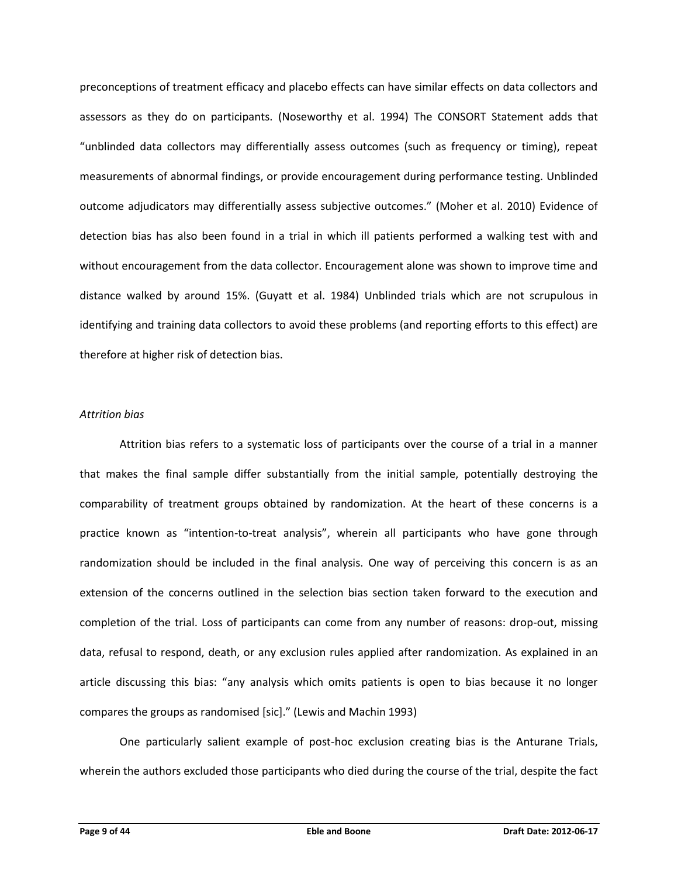preconceptions of treatment efficacy and placebo effects can have similar effects on data collectors and assessors as they do on participants. (Noseworthy et al. 1994) The CONSORT Statement adds that "unblinded data collectors may differentially assess outcomes (such as frequency or timing), repeat measurements of abnormal findings, or provide encouragement during performance testing. Unblinded outcome adjudicators may differentially assess subjective outcomes." (Moher et al. 2010) Evidence of detection bias has also been found in a trial in which ill patients performed a walking test with and without encouragement from the data collector. Encouragement alone was shown to improve time and distance walked by around 15%. (Guyatt et al. 1984) Unblinded trials which are not scrupulous in identifying and training data collectors to avoid these problems (and reporting efforts to this effect) are therefore at higher risk of detection bias.

# *Attrition bias*

Attrition bias refers to a systematic loss of participants over the course of a trial in a manner that makes the final sample differ substantially from the initial sample, potentially destroying the comparability of treatment groups obtained by randomization. At the heart of these concerns is a practice known as "intention-to-treat analysis", wherein all participants who have gone through randomization should be included in the final analysis. One way of perceiving this concern is as an extension of the concerns outlined in the selection bias section taken forward to the execution and completion of the trial. Loss of participants can come from any number of reasons: drop-out, missing data, refusal to respond, death, or any exclusion rules applied after randomization. As explained in an article discussing this bias: "any analysis which omits patients is open to bias because it no longer compares the groups as randomised [sic]." (Lewis and Machin 1993)

One particularly salient example of post-hoc exclusion creating bias is the Anturane Trials, wherein the authors excluded those participants who died during the course of the trial, despite the fact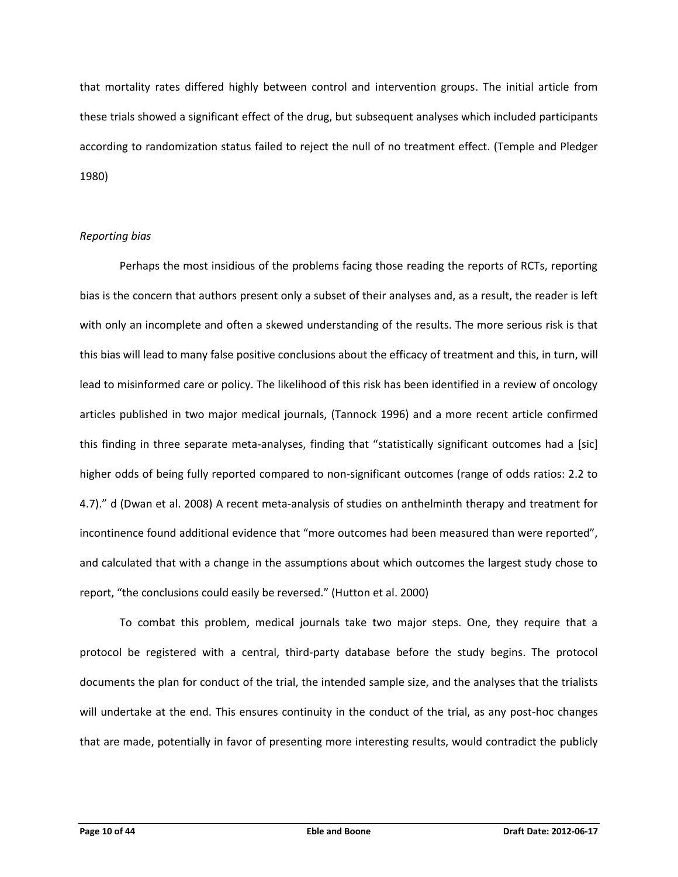that mortality rates differed highly between control and intervention groups. The initial article from these trials showed a significant effect of the drug, but subsequent analyses which included participants according to randomization status failed to reject the null of no treatment effect. (Temple and Pledger 1980)

# *Reporting bias*

Perhaps the most insidious of the problems facing those reading the reports of RCTs, reporting bias is the concern that authors present only a subset of their analyses and, as a result, the reader is left with only an incomplete and often a skewed understanding of the results. The more serious risk is that this bias will lead to many false positive conclusions about the efficacy of treatment and this, in turn, will lead to misinformed care or policy. The likelihood of this risk has been identified in a review of oncology articles published in two major medical journals, (Tannock 1996) and a more recent article confirmed this finding in three separate meta-analyses, finding that "statistically significant outcomes had a [sic] higher odds of being fully reported compared to non-significant outcomes (range of odds ratios: 2.2 to 4.7)." d (Dwan et al. 2008) A recent meta-analysis of studies on anthelminth therapy and treatment for incontinence found additional evidence that "more outcomes had been measured than were reported", and calculated that with a change in the assumptions about which outcomes the largest study chose to report, "the conclusions could easily be reversed." (Hutton et al. 2000)

To combat this problem, medical journals take two major steps. One, they require that a protocol be registered with a central, third-party database before the study begins. The protocol documents the plan for conduct of the trial, the intended sample size, and the analyses that the trialists will undertake at the end. This ensures continuity in the conduct of the trial, as any post-hoc changes that are made, potentially in favor of presenting more interesting results, would contradict the publicly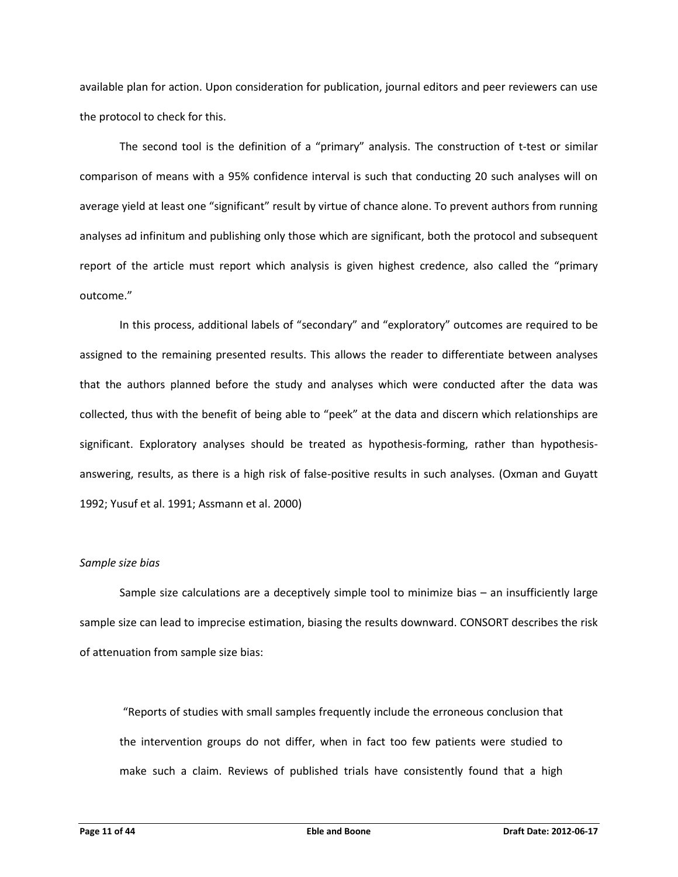available plan for action. Upon consideration for publication, journal editors and peer reviewers can use the protocol to check for this.

The second tool is the definition of a "primary" analysis. The construction of t-test or similar comparison of means with a 95% confidence interval is such that conducting 20 such analyses will on average yield at least one "significant" result by virtue of chance alone. To prevent authors from running analyses ad infinitum and publishing only those which are significant, both the protocol and subsequent report of the article must report which analysis is given highest credence, also called the "primary outcome."

In this process, additional labels of "secondary" and "exploratory" outcomes are required to be assigned to the remaining presented results. This allows the reader to differentiate between analyses that the authors planned before the study and analyses which were conducted after the data was collected, thus with the benefit of being able to "peek" at the data and discern which relationships are significant. Exploratory analyses should be treated as hypothesis-forming, rather than hypothesisanswering, results, as there is a high risk of false-positive results in such analyses. (Oxman and Guyatt 1992; Yusuf et al. 1991; Assmann et al. 2000)

#### *Sample size bias*

Sample size calculations are a deceptively simple tool to minimize bias – an insufficiently large sample size can lead to imprecise estimation, biasing the results downward. CONSORT describes the risk of attenuation from sample size bias:

"Reports of studies with small samples frequently include the erroneous conclusion that the intervention groups do not differ, when in fact too few patients were studied to make such a claim. Reviews of published trials have consistently found that a high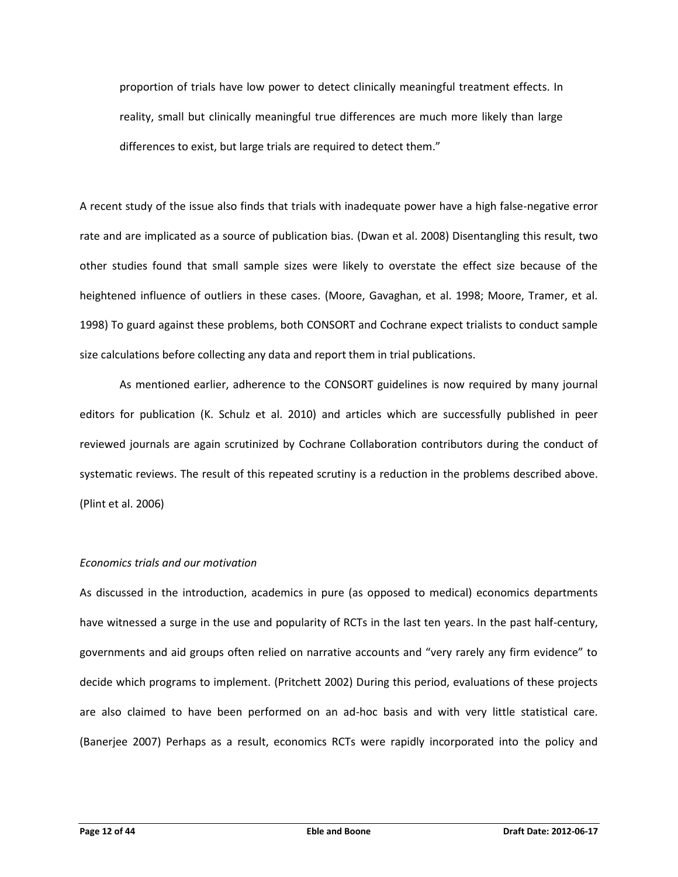proportion of trials have low power to detect clinically meaningful treatment effects. In reality, small but clinically meaningful true differences are much more likely than large differences to exist, but large trials are required to detect them."

A recent study of the issue also finds that trials with inadequate power have a high false-negative error rate and are implicated as a source of publication bias. (Dwan et al. 2008) Disentangling this result, two other studies found that small sample sizes were likely to overstate the effect size because of the heightened influence of outliers in these cases. (Moore, Gavaghan, et al. 1998; Moore, Tramer, et al. 1998) To guard against these problems, both CONSORT and Cochrane expect trialists to conduct sample size calculations before collecting any data and report them in trial publications.

As mentioned earlier, adherence to the CONSORT guidelines is now required by many journal editors for publication (K. Schulz et al. 2010) and articles which are successfully published in peer reviewed journals are again scrutinized by Cochrane Collaboration contributors during the conduct of systematic reviews. The result of this repeated scrutiny is a reduction in the problems described above. (Plint et al. 2006)

# *Economics trials and our motivation*

As discussed in the introduction, academics in pure (as opposed to medical) economics departments have witnessed a surge in the use and popularity of RCTs in the last ten years. In the past half-century, governments and aid groups often relied on narrative accounts and "very rarely any firm evidence" to decide which programs to implement. (Pritchett 2002) During this period, evaluations of these projects are also claimed to have been performed on an ad-hoc basis and with very little statistical care. (Banerjee 2007) Perhaps as a result, economics RCTs were rapidly incorporated into the policy and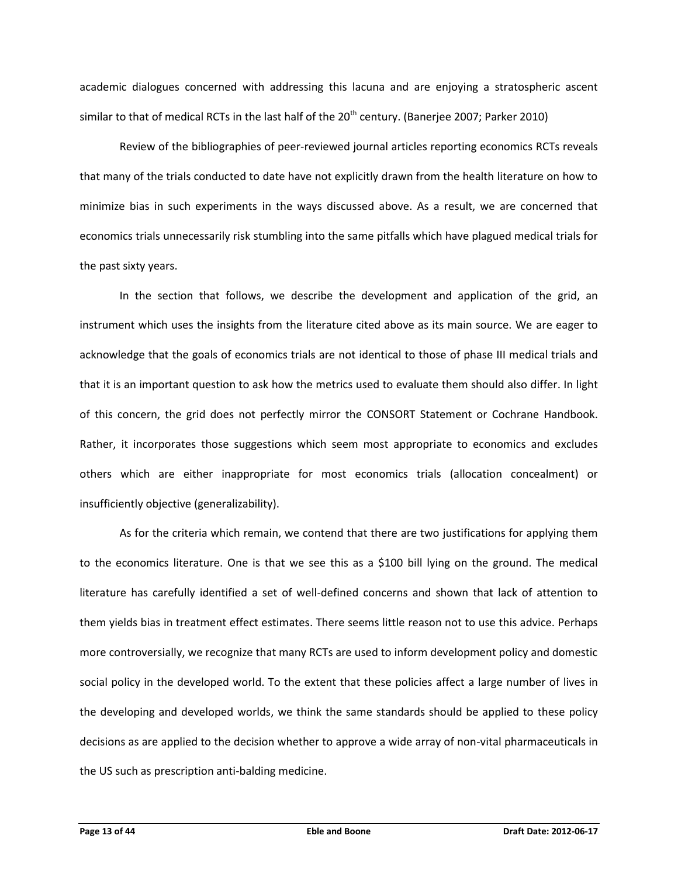academic dialogues concerned with addressing this lacuna and are enjoying a stratospheric ascent similar to that of medical RCTs in the last half of the  $20^{th}$  century. (Banerjee 2007; Parker 2010)

Review of the bibliographies of peer-reviewed journal articles reporting economics RCTs reveals that many of the trials conducted to date have not explicitly drawn from the health literature on how to minimize bias in such experiments in the ways discussed above. As a result, we are concerned that economics trials unnecessarily risk stumbling into the same pitfalls which have plagued medical trials for the past sixty years.

In the section that follows, we describe the development and application of the grid, an instrument which uses the insights from the literature cited above as its main source. We are eager to acknowledge that the goals of economics trials are not identical to those of phase III medical trials and that it is an important question to ask how the metrics used to evaluate them should also differ. In light of this concern, the grid does not perfectly mirror the CONSORT Statement or Cochrane Handbook. Rather, it incorporates those suggestions which seem most appropriate to economics and excludes others which are either inappropriate for most economics trials (allocation concealment) or insufficiently objective (generalizability).

As for the criteria which remain, we contend that there are two justifications for applying them to the economics literature. One is that we see this as a \$100 bill lying on the ground. The medical literature has carefully identified a set of well-defined concerns and shown that lack of attention to them yields bias in treatment effect estimates. There seems little reason not to use this advice. Perhaps more controversially, we recognize that many RCTs are used to inform development policy and domestic social policy in the developed world. To the extent that these policies affect a large number of lives in the developing and developed worlds, we think the same standards should be applied to these policy decisions as are applied to the decision whether to approve a wide array of non-vital pharmaceuticals in the US such as prescription anti-balding medicine.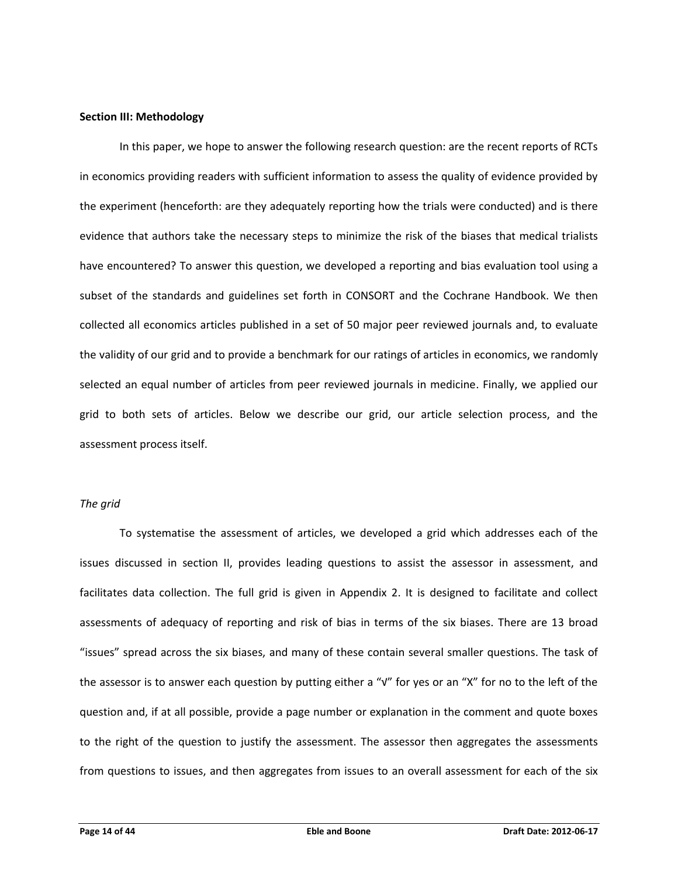#### **Section III: Methodology**

In this paper, we hope to answer the following research question: are the recent reports of RCTs in economics providing readers with sufficient information to assess the quality of evidence provided by the experiment (henceforth: are they adequately reporting how the trials were conducted) and is there evidence that authors take the necessary steps to minimize the risk of the biases that medical trialists have encountered? To answer this question, we developed a reporting and bias evaluation tool using a subset of the standards and guidelines set forth in CONSORT and the Cochrane Handbook. We then collected all economics articles published in a set of 50 major peer reviewed journals and, to evaluate the validity of our grid and to provide a benchmark for our ratings of articles in economics, we randomly selected an equal number of articles from peer reviewed journals in medicine. Finally, we applied our grid to both sets of articles. Below we describe our grid, our article selection process, and the assessment process itself.

### *The grid*

To systematise the assessment of articles, we developed a grid which addresses each of the issues discussed in section II, provides leading questions to assist the assessor in assessment, and facilitates data collection. The full grid is given in Appendix 2. It is designed to facilitate and collect assessments of adequacy of reporting and risk of bias in terms of the six biases. There are 13 broad "issues" spread across the six biases, and many of these contain several smaller questions. The task of the assessor is to answer each question by putting either a "√" for yes or an "X" for no to the left of the question and, if at all possible, provide a page number or explanation in the comment and quote boxes to the right of the question to justify the assessment. The assessor then aggregates the assessments from questions to issues, and then aggregates from issues to an overall assessment for each of the six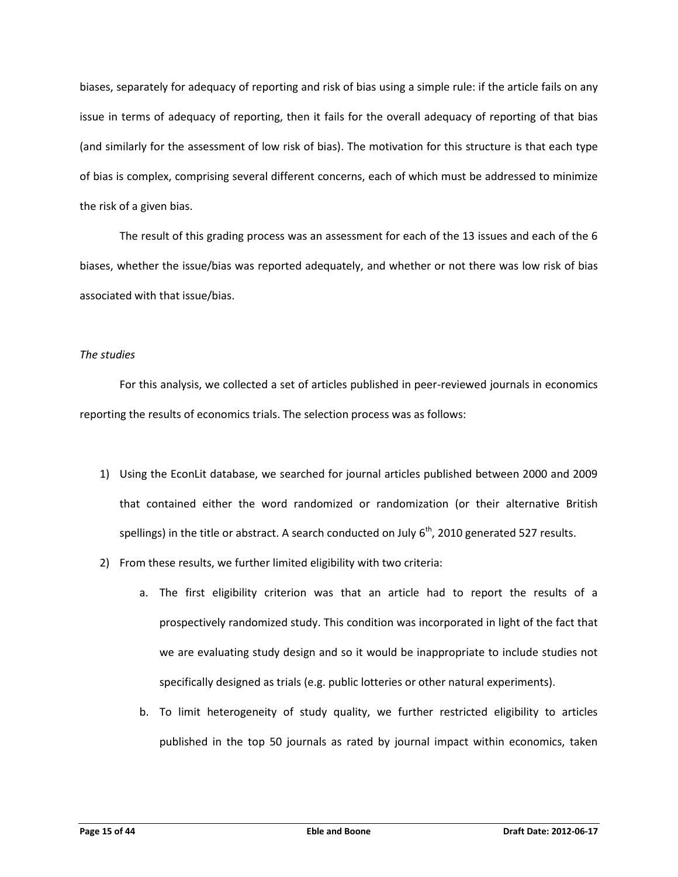biases, separately for adequacy of reporting and risk of bias using a simple rule: if the article fails on any issue in terms of adequacy of reporting, then it fails for the overall adequacy of reporting of that bias (and similarly for the assessment of low risk of bias). The motivation for this structure is that each type of bias is complex, comprising several different concerns, each of which must be addressed to minimize the risk of a given bias.

The result of this grading process was an assessment for each of the 13 issues and each of the 6 biases, whether the issue/bias was reported adequately, and whether or not there was low risk of bias associated with that issue/bias.

# *The studies*

For this analysis, we collected a set of articles published in peer-reviewed journals in economics reporting the results of economics trials. The selection process was as follows:

- 1) Using the EconLit database, we searched for journal articles published between 2000 and 2009 that contained either the word randomized or randomization (or their alternative British spellings) in the title or abstract. A search conducted on July  $6<sup>th</sup>$ , 2010 generated 527 results.
- 2) From these results, we further limited eligibility with two criteria:
	- a. The first eligibility criterion was that an article had to report the results of a prospectively randomized study. This condition was incorporated in light of the fact that we are evaluating study design and so it would be inappropriate to include studies not specifically designed as trials (e.g. public lotteries or other natural experiments).
	- b. To limit heterogeneity of study quality, we further restricted eligibility to articles published in the top 50 journals as rated by journal impact within economics, taken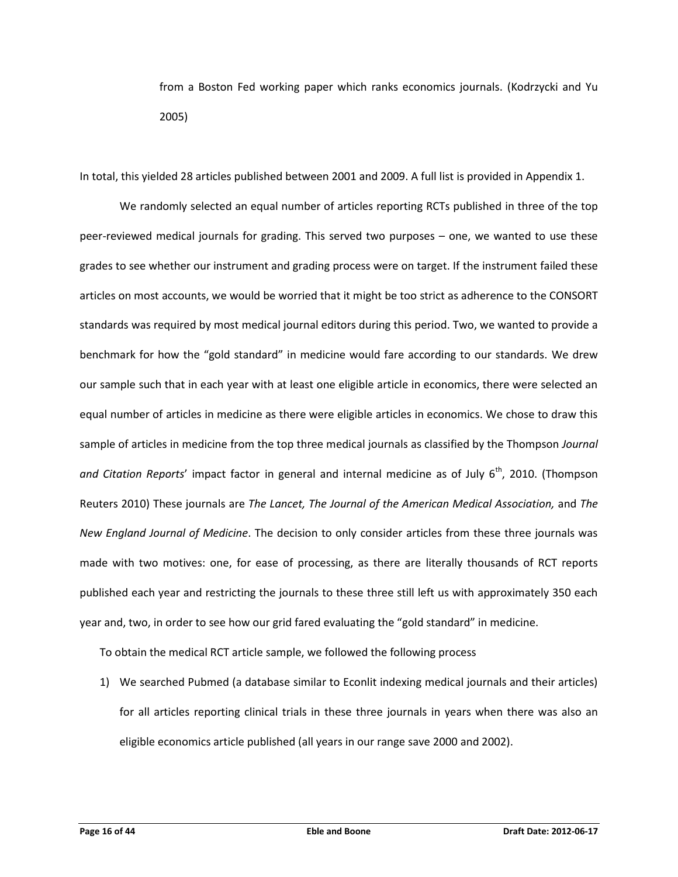from a Boston Fed working paper which ranks economics journals. (Kodrzycki and Yu 2005)

In total, this yielded 28 articles published between 2001 and 2009. A full list is provided in Appendix 1.

We randomly selected an equal number of articles reporting RCTs published in three of the top peer-reviewed medical journals for grading. This served two purposes – one, we wanted to use these grades to see whether our instrument and grading process were on target. If the instrument failed these articles on most accounts, we would be worried that it might be too strict as adherence to the CONSORT standards was required by most medical journal editors during this period. Two, we wanted to provide a benchmark for how the "gold standard" in medicine would fare according to our standards. We drew our sample such that in each year with at least one eligible article in economics, there were selected an equal number of articles in medicine as there were eligible articles in economics. We chose to draw this sample of articles in medicine from the top three medical journals as classified by the Thompson *Journal*  and Citation Reports' impact factor in general and internal medicine as of July 6<sup>th</sup>, 2010. (Thompson Reuters 2010) These journals are *The Lancet, The Journal of the American Medical Association,* and *The New England Journal of Medicine*. The decision to only consider articles from these three journals was made with two motives: one, for ease of processing, as there are literally thousands of RCT reports published each year and restricting the journals to these three still left us with approximately 350 each year and, two, in order to see how our grid fared evaluating the "gold standard" in medicine.

To obtain the medical RCT article sample, we followed the following process

1) We searched Pubmed (a database similar to Econlit indexing medical journals and their articles) for all articles reporting clinical trials in these three journals in years when there was also an eligible economics article published (all years in our range save 2000 and 2002).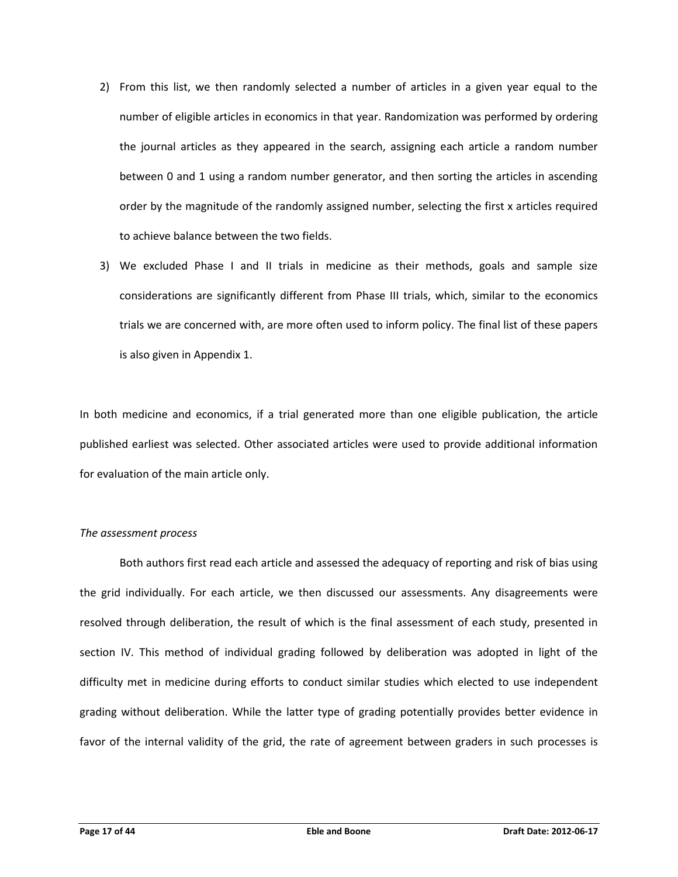- 2) From this list, we then randomly selected a number of articles in a given year equal to the number of eligible articles in economics in that year. Randomization was performed by ordering the journal articles as they appeared in the search, assigning each article a random number between 0 and 1 using a random number generator, and then sorting the articles in ascending order by the magnitude of the randomly assigned number, selecting the first x articles required to achieve balance between the two fields.
- 3) We excluded Phase I and II trials in medicine as their methods, goals and sample size considerations are significantly different from Phase III trials, which, similar to the economics trials we are concerned with, are more often used to inform policy. The final list of these papers is also given in Appendix 1.

In both medicine and economics, if a trial generated more than one eligible publication, the article published earliest was selected. Other associated articles were used to provide additional information for evaluation of the main article only.

# *The assessment process*

Both authors first read each article and assessed the adequacy of reporting and risk of bias using the grid individually. For each article, we then discussed our assessments. Any disagreements were resolved through deliberation, the result of which is the final assessment of each study, presented in section IV. This method of individual grading followed by deliberation was adopted in light of the difficulty met in medicine during efforts to conduct similar studies which elected to use independent grading without deliberation. While the latter type of grading potentially provides better evidence in favor of the internal validity of the grid, the rate of agreement between graders in such processes is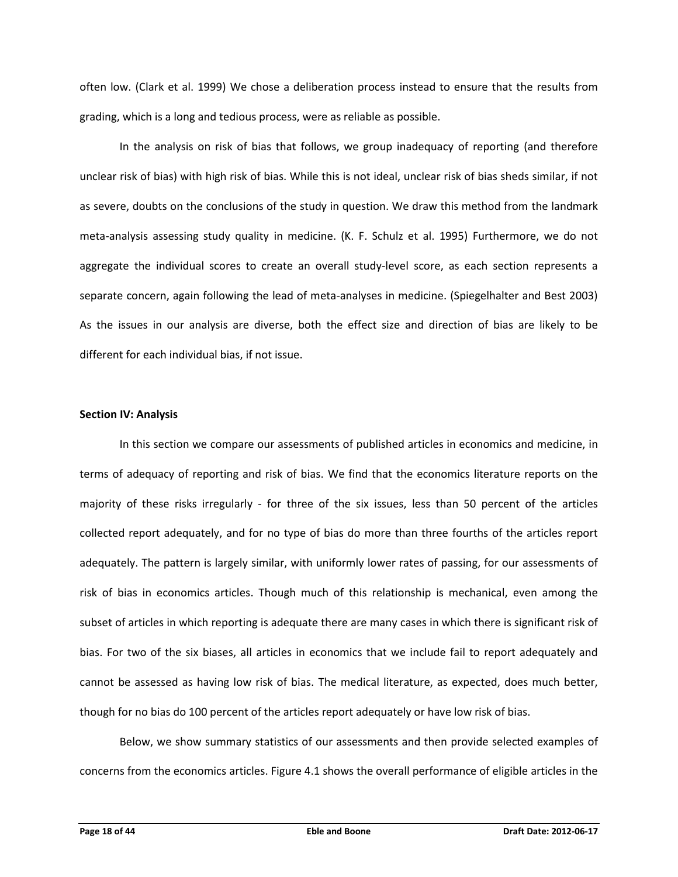often low. (Clark et al. 1999) We chose a deliberation process instead to ensure that the results from grading, which is a long and tedious process, were as reliable as possible.

In the analysis on risk of bias that follows, we group inadequacy of reporting (and therefore unclear risk of bias) with high risk of bias. While this is not ideal, unclear risk of bias sheds similar, if not as severe, doubts on the conclusions of the study in question. We draw this method from the landmark meta-analysis assessing study quality in medicine. (K. F. Schulz et al. 1995) Furthermore, we do not aggregate the individual scores to create an overall study-level score, as each section represents a separate concern, again following the lead of meta-analyses in medicine. (Spiegelhalter and Best 2003) As the issues in our analysis are diverse, both the effect size and direction of bias are likely to be different for each individual bias, if not issue.

# **Section IV: Analysis**

In this section we compare our assessments of published articles in economics and medicine, in terms of adequacy of reporting and risk of bias. We find that the economics literature reports on the majority of these risks irregularly - for three of the six issues, less than 50 percent of the articles collected report adequately, and for no type of bias do more than three fourths of the articles report adequately. The pattern is largely similar, with uniformly lower rates of passing, for our assessments of risk of bias in economics articles. Though much of this relationship is mechanical, even among the subset of articles in which reporting is adequate there are many cases in which there is significant risk of bias. For two of the six biases, all articles in economics that we include fail to report adequately and cannot be assessed as having low risk of bias. The medical literature, as expected, does much better, though for no bias do 100 percent of the articles report adequately or have low risk of bias.

Below, we show summary statistics of our assessments and then provide selected examples of concerns from the economics articles. Figure 4.1 shows the overall performance of eligible articles in the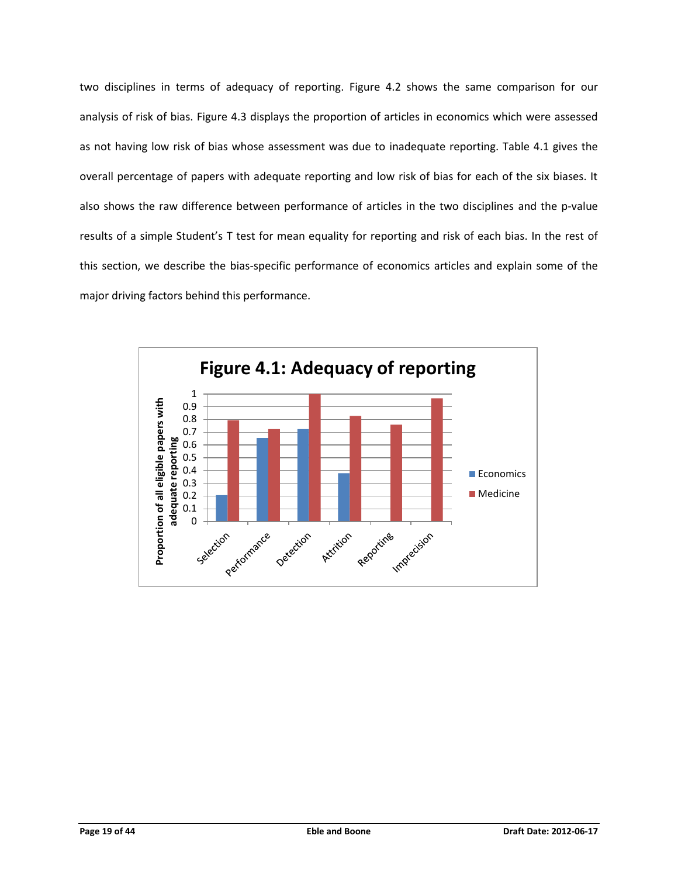two disciplines in terms of adequacy of reporting. Figure 4.2 shows the same comparison for our analysis of risk of bias. Figure 4.3 displays the proportion of articles in economics which were assessed as not having low risk of bias whose assessment was due to inadequate reporting. Table 4.1 gives the overall percentage of papers with adequate reporting and low risk of bias for each of the six biases. It also shows the raw difference between performance of articles in the two disciplines and the p-value results of a simple Student's T test for mean equality for reporting and risk of each bias. In the rest of this section, we describe the bias-specific performance of economics articles and explain some of the major driving factors behind this performance.

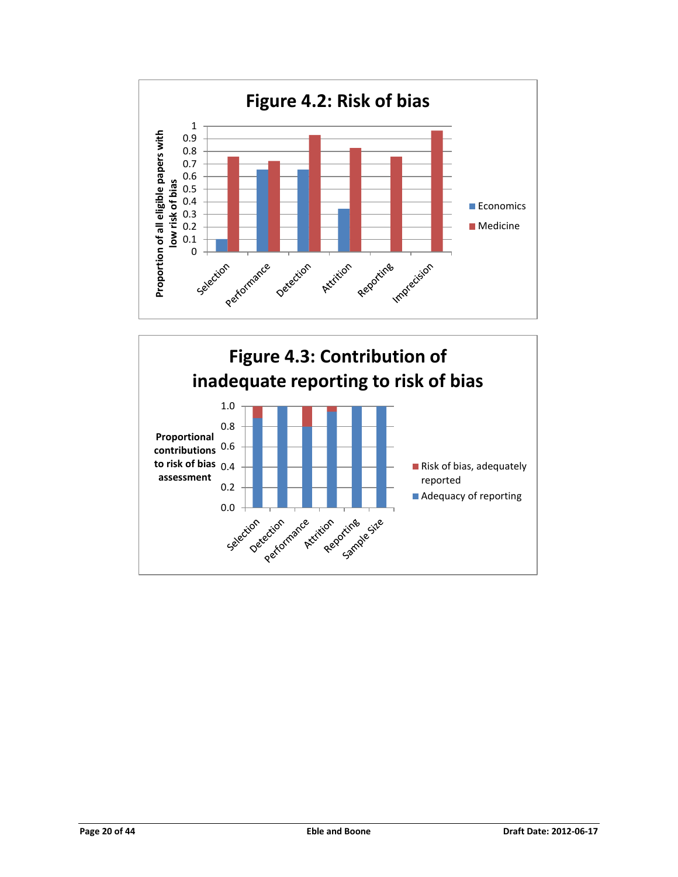

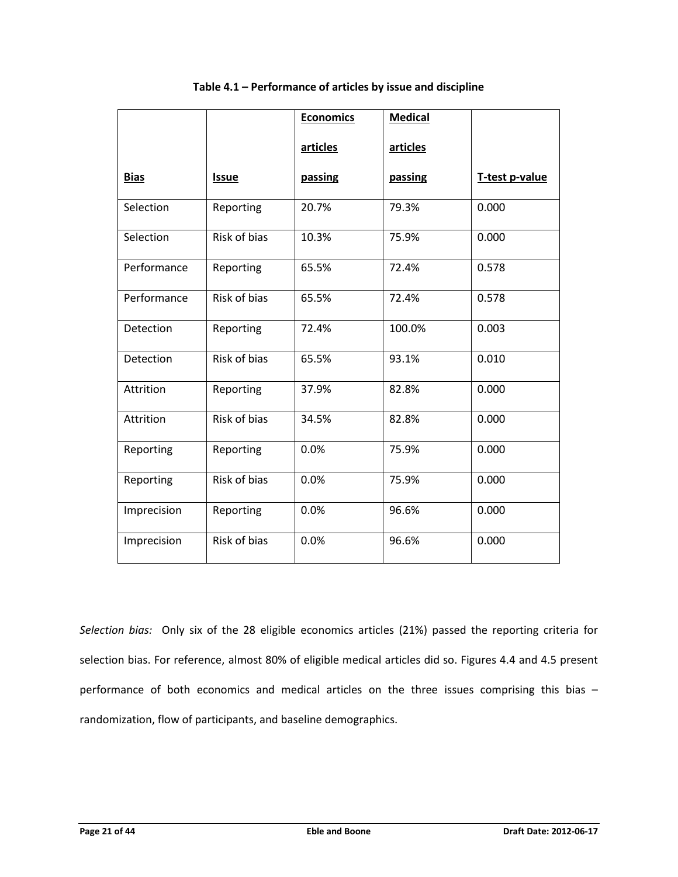|             |                     | <b>Economics</b> | <b>Medical</b> |                |
|-------------|---------------------|------------------|----------------|----------------|
|             |                     | articles         | articles       |                |
| <b>Bias</b> | <b>Issue</b>        | passing          | passing        | T-test p-value |
| Selection   | Reporting           | 20.7%            | 79.3%          | 0.000          |
| Selection   | <b>Risk of bias</b> | 10.3%            | 75.9%          | 0.000          |
| Performance | Reporting           | 65.5%            | 72.4%          | 0.578          |
| Performance | <b>Risk of bias</b> | 65.5%            | 72.4%          | 0.578          |
| Detection   | Reporting           | 72.4%            | 100.0%         | 0.003          |
| Detection   | <b>Risk of bias</b> | 65.5%            | 93.1%          | 0.010          |
| Attrition   | Reporting           | 37.9%            | 82.8%          | 0.000          |
| Attrition   | Risk of bias        | 34.5%            | 82.8%          | 0.000          |
| Reporting   | Reporting           | 0.0%             | 75.9%          | 0.000          |
| Reporting   | Risk of bias        | 0.0%             | 75.9%          | 0.000          |
| Imprecision | Reporting           | 0.0%             | 96.6%          | 0.000          |
| Imprecision | Risk of bias        | 0.0%             | 96.6%          | 0.000          |

# **Table 4.1 – Performance of articles by issue and discipline**

*Selection bias:* Only six of the 28 eligible economics articles (21%) passed the reporting criteria for selection bias. For reference, almost 80% of eligible medical articles did so. Figures 4.4 and 4.5 present performance of both economics and medical articles on the three issues comprising this bias randomization, flow of participants, and baseline demographics.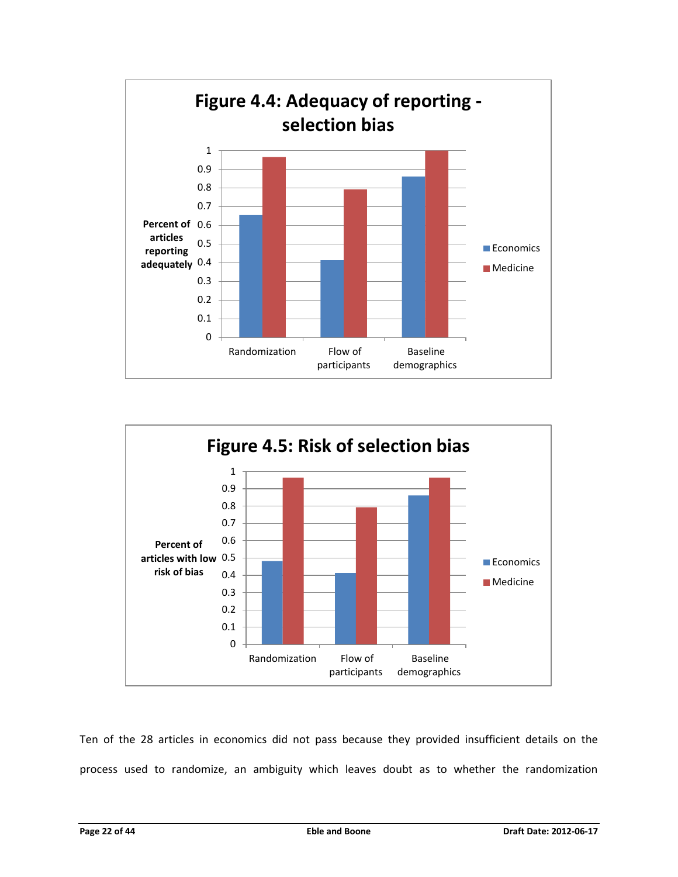



Ten of the 28 articles in economics did not pass because they provided insufficient details on the process used to randomize, an ambiguity which leaves doubt as to whether the randomization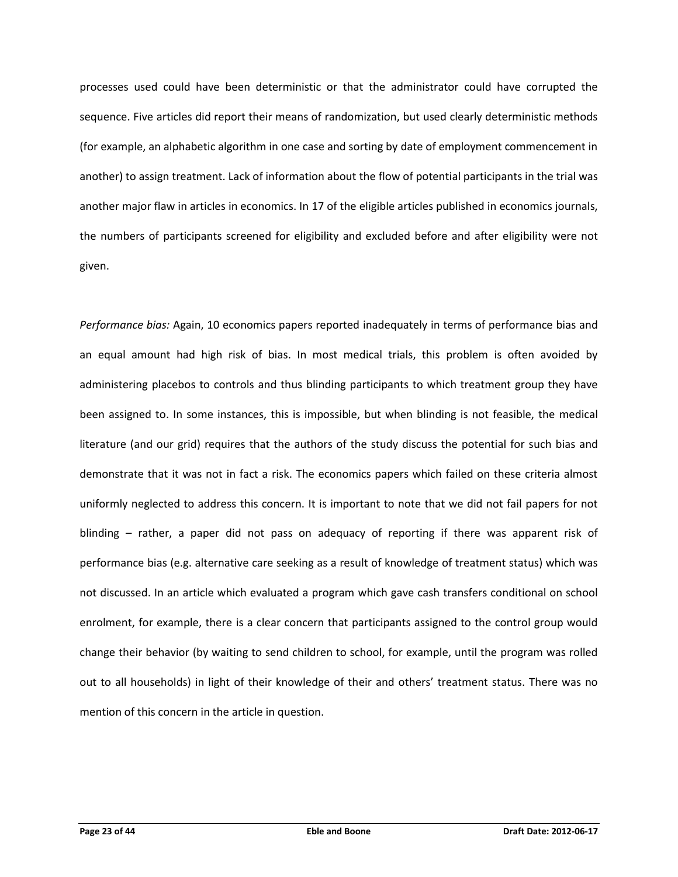processes used could have been deterministic or that the administrator could have corrupted the sequence. Five articles did report their means of randomization, but used clearly deterministic methods (for example, an alphabetic algorithm in one case and sorting by date of employment commencement in another) to assign treatment. Lack of information about the flow of potential participants in the trial was another major flaw in articles in economics. In 17 of the eligible articles published in economics journals, the numbers of participants screened for eligibility and excluded before and after eligibility were not given.

*Performance bias:* Again, 10 economics papers reported inadequately in terms of performance bias and an equal amount had high risk of bias. In most medical trials, this problem is often avoided by administering placebos to controls and thus blinding participants to which treatment group they have been assigned to. In some instances, this is impossible, but when blinding is not feasible, the medical literature (and our grid) requires that the authors of the study discuss the potential for such bias and demonstrate that it was not in fact a risk. The economics papers which failed on these criteria almost uniformly neglected to address this concern. It is important to note that we did not fail papers for not blinding – rather, a paper did not pass on adequacy of reporting if there was apparent risk of performance bias (e.g. alternative care seeking as a result of knowledge of treatment status) which was not discussed. In an article which evaluated a program which gave cash transfers conditional on school enrolment, for example, there is a clear concern that participants assigned to the control group would change their behavior (by waiting to send children to school, for example, until the program was rolled out to all households) in light of their knowledge of their and others' treatment status. There was no mention of this concern in the article in question.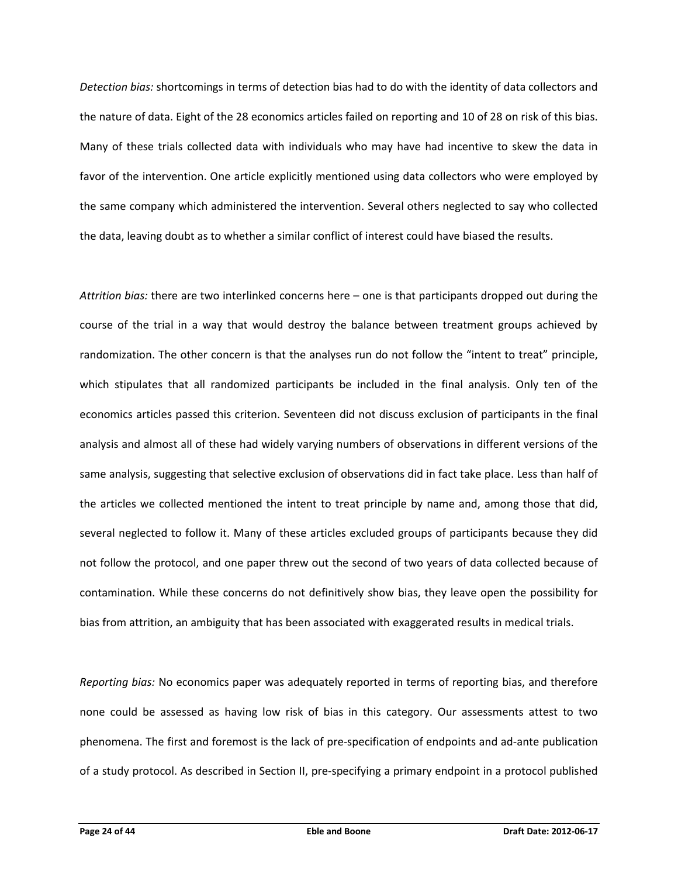*Detection bias:* shortcomings in terms of detection bias had to do with the identity of data collectors and the nature of data. Eight of the 28 economics articles failed on reporting and 10 of 28 on risk of this bias. Many of these trials collected data with individuals who may have had incentive to skew the data in favor of the intervention. One article explicitly mentioned using data collectors who were employed by the same company which administered the intervention. Several others neglected to say who collected the data, leaving doubt as to whether a similar conflict of interest could have biased the results.

*Attrition bias:* there are two interlinked concerns here – one is that participants dropped out during the course of the trial in a way that would destroy the balance between treatment groups achieved by randomization. The other concern is that the analyses run do not follow the "intent to treat" principle, which stipulates that all randomized participants be included in the final analysis. Only ten of the economics articles passed this criterion. Seventeen did not discuss exclusion of participants in the final analysis and almost all of these had widely varying numbers of observations in different versions of the same analysis, suggesting that selective exclusion of observations did in fact take place. Less than half of the articles we collected mentioned the intent to treat principle by name and, among those that did, several neglected to follow it. Many of these articles excluded groups of participants because they did not follow the protocol, and one paper threw out the second of two years of data collected because of contamination. While these concerns do not definitively show bias, they leave open the possibility for bias from attrition, an ambiguity that has been associated with exaggerated results in medical trials.

*Reporting bias:* No economics paper was adequately reported in terms of reporting bias, and therefore none could be assessed as having low risk of bias in this category. Our assessments attest to two phenomena. The first and foremost is the lack of pre-specification of endpoints and ad-ante publication of a study protocol. As described in Section II, pre-specifying a primary endpoint in a protocol published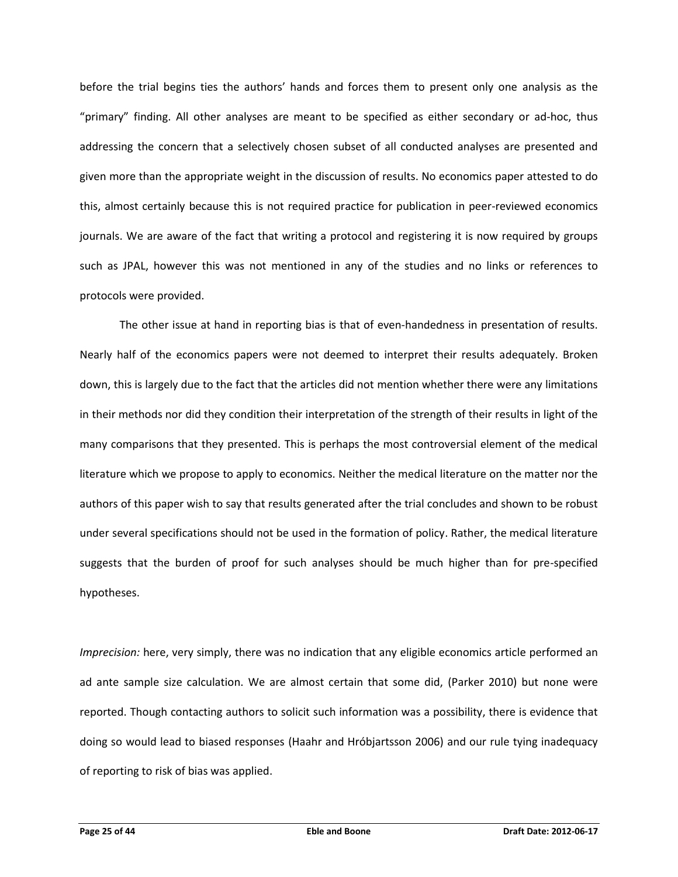before the trial begins ties the authors' hands and forces them to present only one analysis as the "primary" finding. All other analyses are meant to be specified as either secondary or ad-hoc, thus addressing the concern that a selectively chosen subset of all conducted analyses are presented and given more than the appropriate weight in the discussion of results. No economics paper attested to do this, almost certainly because this is not required practice for publication in peer-reviewed economics journals. We are aware of the fact that writing a protocol and registering it is now required by groups such as JPAL, however this was not mentioned in any of the studies and no links or references to protocols were provided.

The other issue at hand in reporting bias is that of even-handedness in presentation of results. Nearly half of the economics papers were not deemed to interpret their results adequately. Broken down, this is largely due to the fact that the articles did not mention whether there were any limitations in their methods nor did they condition their interpretation of the strength of their results in light of the many comparisons that they presented. This is perhaps the most controversial element of the medical literature which we propose to apply to economics. Neither the medical literature on the matter nor the authors of this paper wish to say that results generated after the trial concludes and shown to be robust under several specifications should not be used in the formation of policy. Rather, the medical literature suggests that the burden of proof for such analyses should be much higher than for pre-specified hypotheses.

*Imprecision:* here, very simply, there was no indication that any eligible economics article performed an ad ante sample size calculation. We are almost certain that some did, (Parker 2010) but none were reported. Though contacting authors to solicit such information was a possibility, there is evidence that doing so would lead to biased responses (Haahr and Hróbjartsson 2006) and our rule tying inadequacy of reporting to risk of bias was applied.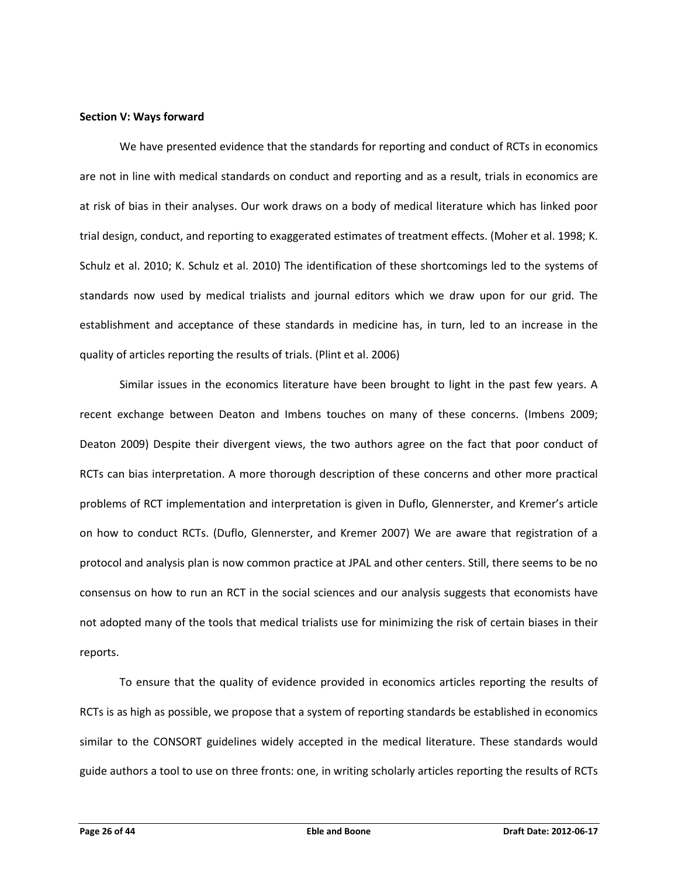#### **Section V: Ways forward**

We have presented evidence that the standards for reporting and conduct of RCTs in economics are not in line with medical standards on conduct and reporting and as a result, trials in economics are at risk of bias in their analyses. Our work draws on a body of medical literature which has linked poor trial design, conduct, and reporting to exaggerated estimates of treatment effects. (Moher et al. 1998; K. Schulz et al. 2010; K. Schulz et al. 2010) The identification of these shortcomings led to the systems of standards now used by medical trialists and journal editors which we draw upon for our grid. The establishment and acceptance of these standards in medicine has, in turn, led to an increase in the quality of articles reporting the results of trials. (Plint et al. 2006)

Similar issues in the economics literature have been brought to light in the past few years. A recent exchange between Deaton and Imbens touches on many of these concerns. (Imbens 2009; Deaton 2009) Despite their divergent views, the two authors agree on the fact that poor conduct of RCTs can bias interpretation. A more thorough description of these concerns and other more practical problems of RCT implementation and interpretation is given in Duflo, Glennerster, and Kremer's article on how to conduct RCTs. (Duflo, Glennerster, and Kremer 2007) We are aware that registration of a protocol and analysis plan is now common practice at JPAL and other centers. Still, there seems to be no consensus on how to run an RCT in the social sciences and our analysis suggests that economists have not adopted many of the tools that medical trialists use for minimizing the risk of certain biases in their reports.

To ensure that the quality of evidence provided in economics articles reporting the results of RCTs is as high as possible, we propose that a system of reporting standards be established in economics similar to the CONSORT guidelines widely accepted in the medical literature. These standards would guide authors a tool to use on three fronts: one, in writing scholarly articles reporting the results of RCTs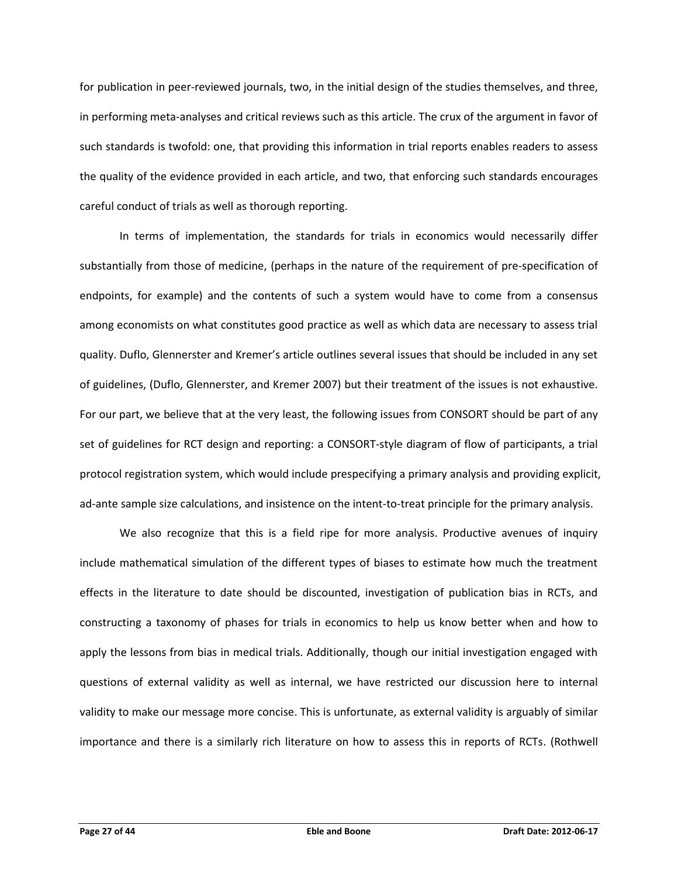for publication in peer-reviewed journals, two, in the initial design of the studies themselves, and three, in performing meta-analyses and critical reviews such as this article. The crux of the argument in favor of such standards is twofold: one, that providing this information in trial reports enables readers to assess the quality of the evidence provided in each article, and two, that enforcing such standards encourages careful conduct of trials as well as thorough reporting.

In terms of implementation, the standards for trials in economics would necessarily differ substantially from those of medicine, (perhaps in the nature of the requirement of pre-specification of endpoints, for example) and the contents of such a system would have to come from a consensus among economists on what constitutes good practice as well as which data are necessary to assess trial quality. Duflo, Glennerster and Kremer's article outlines several issues that should be included in any set of guidelines, (Duflo, Glennerster, and Kremer 2007) but their treatment of the issues is not exhaustive. For our part, we believe that at the very least, the following issues from CONSORT should be part of any set of guidelines for RCT design and reporting: a CONSORT-style diagram of flow of participants, a trial protocol registration system, which would include prespecifying a primary analysis and providing explicit, ad-ante sample size calculations, and insistence on the intent-to-treat principle for the primary analysis.

We also recognize that this is a field ripe for more analysis. Productive avenues of inquiry include mathematical simulation of the different types of biases to estimate how much the treatment effects in the literature to date should be discounted, investigation of publication bias in RCTs, and constructing a taxonomy of phases for trials in economics to help us know better when and how to apply the lessons from bias in medical trials. Additionally, though our initial investigation engaged with questions of external validity as well as internal, we have restricted our discussion here to internal validity to make our message more concise. This is unfortunate, as external validity is arguably of similar importance and there is a similarly rich literature on how to assess this in reports of RCTs. (Rothwell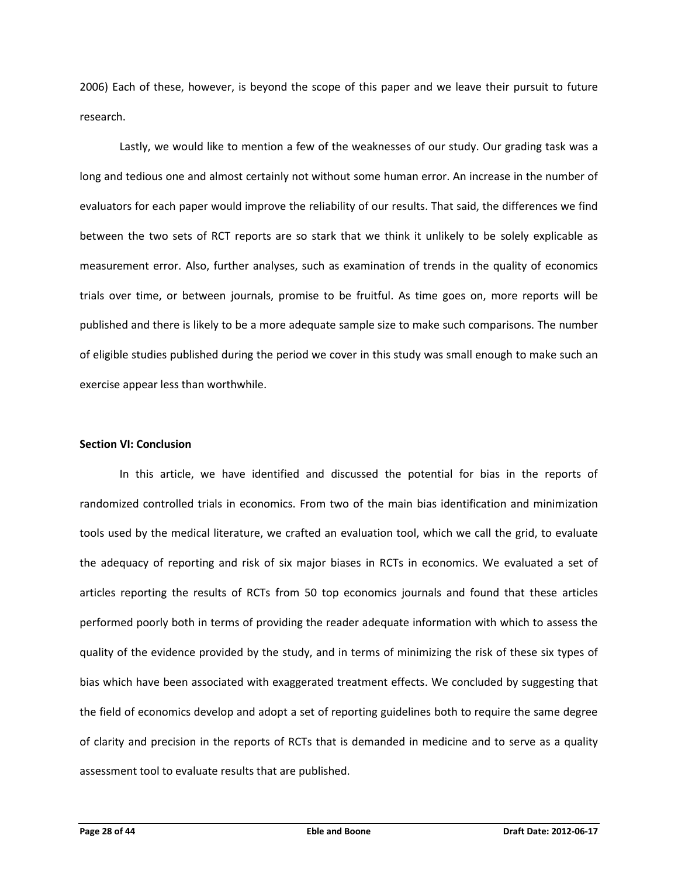2006) Each of these, however, is beyond the scope of this paper and we leave their pursuit to future research.

Lastly, we would like to mention a few of the weaknesses of our study. Our grading task was a long and tedious one and almost certainly not without some human error. An increase in the number of evaluators for each paper would improve the reliability of our results. That said, the differences we find between the two sets of RCT reports are so stark that we think it unlikely to be solely explicable as measurement error. Also, further analyses, such as examination of trends in the quality of economics trials over time, or between journals, promise to be fruitful. As time goes on, more reports will be published and there is likely to be a more adequate sample size to make such comparisons. The number of eligible studies published during the period we cover in this study was small enough to make such an exercise appear less than worthwhile.

#### **Section VI: Conclusion**

In this article, we have identified and discussed the potential for bias in the reports of randomized controlled trials in economics. From two of the main bias identification and minimization tools used by the medical literature, we crafted an evaluation tool, which we call the grid, to evaluate the adequacy of reporting and risk of six major biases in RCTs in economics. We evaluated a set of articles reporting the results of RCTs from 50 top economics journals and found that these articles performed poorly both in terms of providing the reader adequate information with which to assess the quality of the evidence provided by the study, and in terms of minimizing the risk of these six types of bias which have been associated with exaggerated treatment effects. We concluded by suggesting that the field of economics develop and adopt a set of reporting guidelines both to require the same degree of clarity and precision in the reports of RCTs that is demanded in medicine and to serve as a quality assessment tool to evaluate results that are published.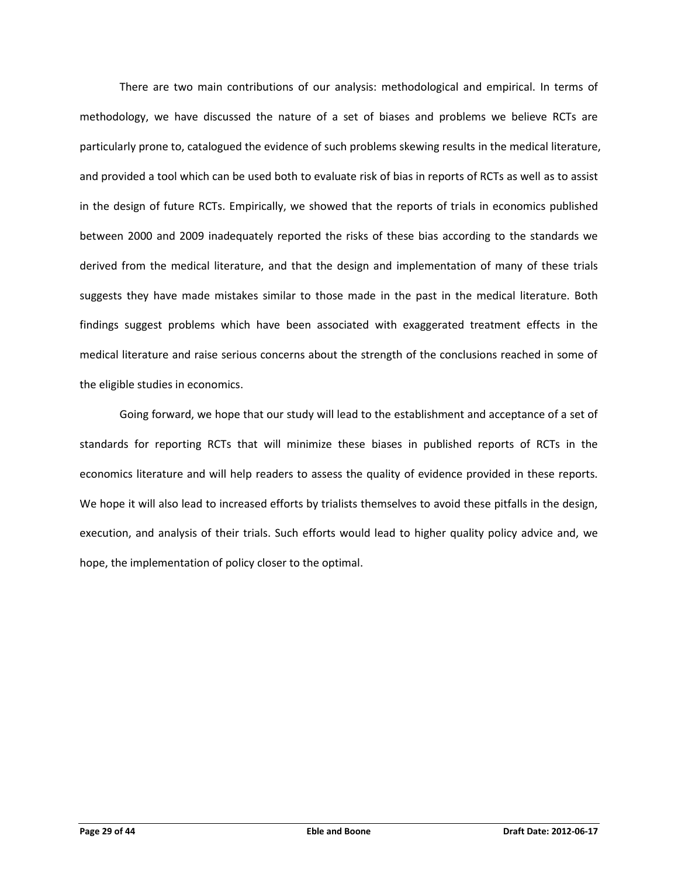There are two main contributions of our analysis: methodological and empirical. In terms of methodology, we have discussed the nature of a set of biases and problems we believe RCTs are particularly prone to, catalogued the evidence of such problems skewing results in the medical literature, and provided a tool which can be used both to evaluate risk of bias in reports of RCTs as well as to assist in the design of future RCTs. Empirically, we showed that the reports of trials in economics published between 2000 and 2009 inadequately reported the risks of these bias according to the standards we derived from the medical literature, and that the design and implementation of many of these trials suggests they have made mistakes similar to those made in the past in the medical literature. Both findings suggest problems which have been associated with exaggerated treatment effects in the medical literature and raise serious concerns about the strength of the conclusions reached in some of the eligible studies in economics.

Going forward, we hope that our study will lead to the establishment and acceptance of a set of standards for reporting RCTs that will minimize these biases in published reports of RCTs in the economics literature and will help readers to assess the quality of evidence provided in these reports. We hope it will also lead to increased efforts by trialists themselves to avoid these pitfalls in the design, execution, and analysis of their trials. Such efforts would lead to higher quality policy advice and, we hope, the implementation of policy closer to the optimal.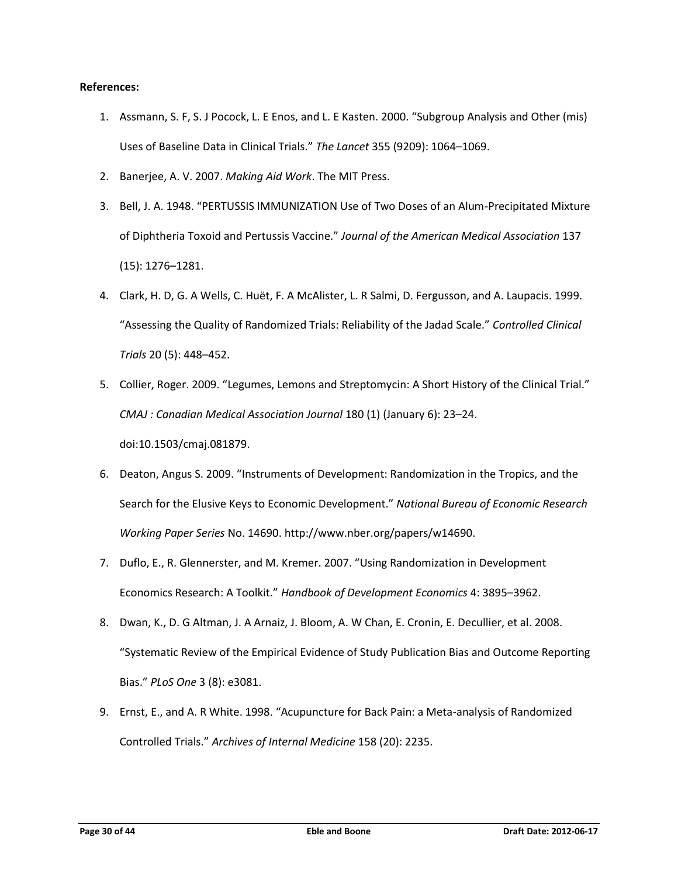# **References:**

- 1. Assmann, S. F, S. J Pocock, L. E Enos, and L. E Kasten. 2000. "Subgroup Analysis and Other (mis) Uses of Baseline Data in Clinical Trials." *The Lancet* 355 (9209): 1064–1069.
- 2. Banerjee, A. V. 2007. *Making Aid Work*. The MIT Press.
- 3. Bell, J. A. 1948. "PERTUSSIS IMMUNIZATION Use of Two Doses of an Alum-Precipitated Mixture of Diphtheria Toxoid and Pertussis Vaccine." *Journal of the American Medical Association* 137 (15): 1276–1281.
- 4. Clark, H. D, G. A Wells, C. Huët, F. A McAlister, L. R Salmi, D. Fergusson, and A. Laupacis. 1999. "Assessing the Quality of Randomized Trials: Reliability of the Jadad Scale." *Controlled Clinical Trials* 20 (5): 448–452.
- 5. Collier, Roger. 2009. "Legumes, Lemons and Streptomycin: A Short History of the Clinical Trial." *CMAJ : Canadian Medical Association Journal* 180 (1) (January 6): 23–24. doi:10.1503/cmaj.081879.
- 6. Deaton, Angus S. 2009. "Instruments of Development: Randomization in the Tropics, and the Search for the Elusive Keys to Economic Development." *National Bureau of Economic Research Working Paper Series* No. 14690. http://www.nber.org/papers/w14690.
- 7. Duflo, E., R. Glennerster, and M. Kremer. 2007. "Using Randomization in Development Economics Research: A Toolkit." *Handbook of Development Economics* 4: 3895–3962.
- 8. Dwan, K., D. G Altman, J. A Arnaiz, J. Bloom, A. W Chan, E. Cronin, E. Decullier, et al. 2008. "Systematic Review of the Empirical Evidence of Study Publication Bias and Outcome Reporting Bias." *PLoS One* 3 (8): e3081.
- 9. Ernst, E., and A. R White. 1998. "Acupuncture for Back Pain: a Meta-analysis of Randomized Controlled Trials." *Archives of Internal Medicine* 158 (20): 2235.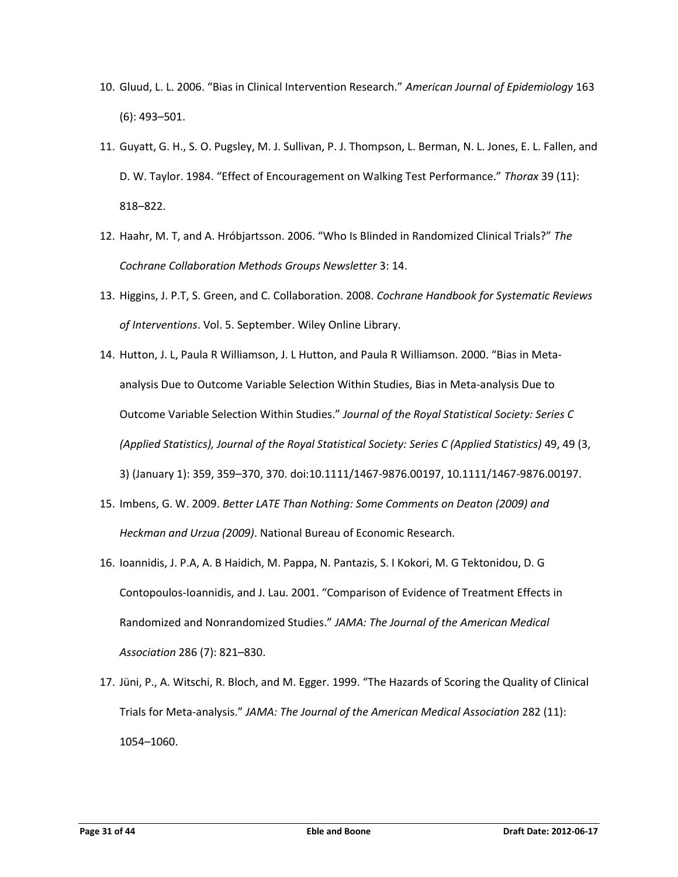- 10. Gluud, L. L. 2006. "Bias in Clinical Intervention Research." *American Journal of Epidemiology* 163 (6): 493–501.
- 11. Guyatt, G. H., S. O. Pugsley, M. J. Sullivan, P. J. Thompson, L. Berman, N. L. Jones, E. L. Fallen, and D. W. Taylor. 1984. "Effect of Encouragement on Walking Test Performance." *Thorax* 39 (11): 818–822.
- 12. Haahr, M. T, and A. Hróbjartsson. 2006. "Who Is Blinded in Randomized Clinical Trials?" *The Cochrane Collaboration Methods Groups Newsletter* 3: 14.
- 13. Higgins, J. P.T, S. Green, and C. Collaboration. 2008. *Cochrane Handbook for Systematic Reviews of Interventions*. Vol. 5. September. Wiley Online Library.
- 14. Hutton, J. L, Paula R Williamson, J. L Hutton, and Paula R Williamson. 2000. "Bias in Meta‐ analysis Due to Outcome Variable Selection Within Studies, Bias in Meta‐analysis Due to Outcome Variable Selection Within Studies." *Journal of the Royal Statistical Society: Series C (Applied Statistics), Journal of the Royal Statistical Society: Series C (Applied Statistics)* 49, 49 (3, 3) (January 1): 359, 359–370, 370. doi:10.1111/1467-9876.00197, 10.1111/1467-9876.00197.
- 15. Imbens, G. W. 2009. *Better LATE Than Nothing: Some Comments on Deaton (2009) and Heckman and Urzua (2009)*. National Bureau of Economic Research.
- 16. Ioannidis, J. P.A, A. B Haidich, M. Pappa, N. Pantazis, S. I Kokori, M. G Tektonidou, D. G Contopoulos-Ioannidis, and J. Lau. 2001. "Comparison of Evidence of Treatment Effects in Randomized and Nonrandomized Studies." *JAMA: The Journal of the American Medical Association* 286 (7): 821–830.
- 17. Jüni, P., A. Witschi, R. Bloch, and M. Egger. 1999. "The Hazards of Scoring the Quality of Clinical Trials for Meta-analysis." *JAMA: The Journal of the American Medical Association* 282 (11): 1054–1060.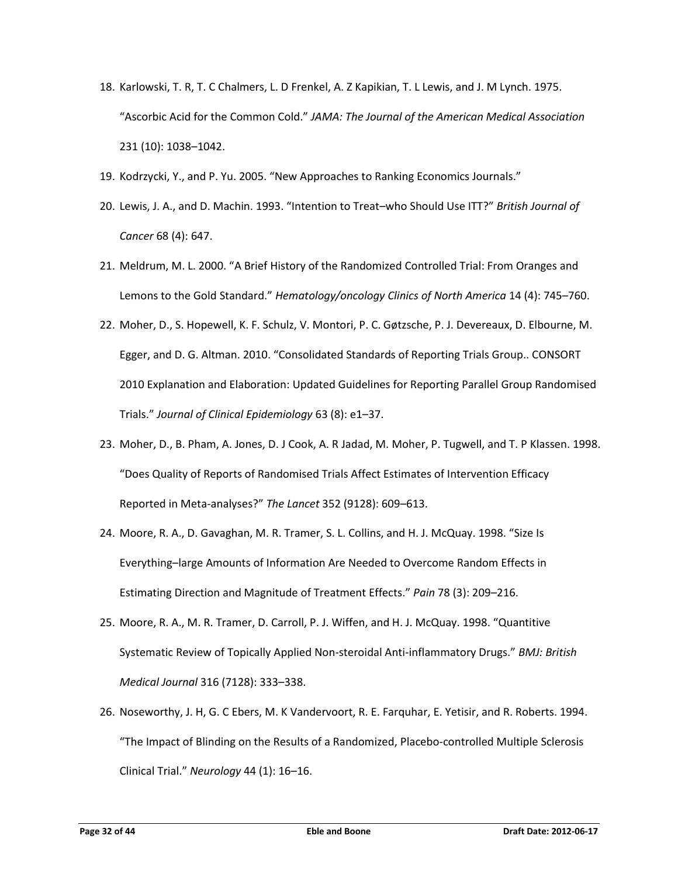- 18. Karlowski, T. R, T. C Chalmers, L. D Frenkel, A. Z Kapikian, T. L Lewis, and J. M Lynch. 1975. "Ascorbic Acid for the Common Cold." *JAMA: The Journal of the American Medical Association* 231 (10): 1038–1042.
- 19. Kodrzycki, Y., and P. Yu. 2005. "New Approaches to Ranking Economics Journals."
- 20. Lewis, J. A., and D. Machin. 1993. "Intention to Treat–who Should Use ITT?" *British Journal of Cancer* 68 (4): 647.
- 21. Meldrum, M. L. 2000. "A Brief History of the Randomized Controlled Trial: From Oranges and Lemons to the Gold Standard." *Hematology/oncology Clinics of North America* 14 (4): 745–760.
- 22. Moher, D., S. Hopewell, K. F. Schulz, V. Montori, P. C. Gøtzsche, P. J. Devereaux, D. Elbourne, M. Egger, and D. G. Altman. 2010. "Consolidated Standards of Reporting Trials Group.. CONSORT 2010 Explanation and Elaboration: Updated Guidelines for Reporting Parallel Group Randomised Trials." *Journal of Clinical Epidemiology* 63 (8): e1–37.
- 23. Moher, D., B. Pham, A. Jones, D. J Cook, A. R Jadad, M. Moher, P. Tugwell, and T. P Klassen. 1998. "Does Quality of Reports of Randomised Trials Affect Estimates of Intervention Efficacy Reported in Meta-analyses?" *The Lancet* 352 (9128): 609–613.
- 24. Moore, R. A., D. Gavaghan, M. R. Tramer, S. L. Collins, and H. J. McQuay. 1998. "Size Is Everything–large Amounts of Information Are Needed to Overcome Random Effects in Estimating Direction and Magnitude of Treatment Effects." *Pain* 78 (3): 209–216.
- 25. Moore, R. A., M. R. Tramer, D. Carroll, P. J. Wiffen, and H. J. McQuay. 1998. "Quantitive Systematic Review of Topically Applied Non-steroidal Anti-inflammatory Drugs." *BMJ: British Medical Journal* 316 (7128): 333–338.
- 26. Noseworthy, J. H, G. C Ebers, M. K Vandervoort, R. E. Farquhar, E. Yetisir, and R. Roberts. 1994. "The Impact of Blinding on the Results of a Randomized, Placebo-controlled Multiple Sclerosis Clinical Trial." *Neurology* 44 (1): 16–16.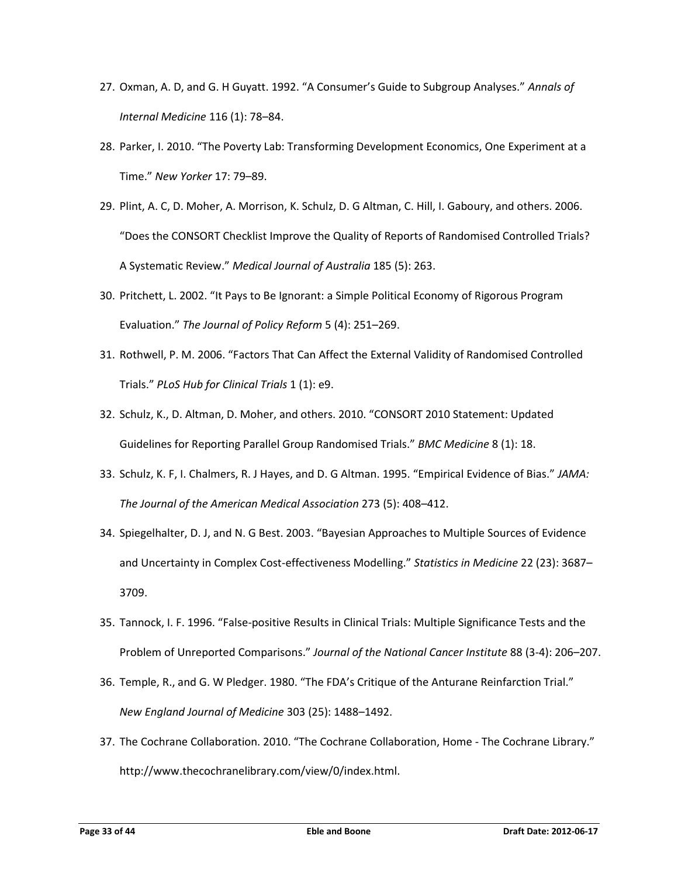- 27. Oxman, A. D, and G. H Guyatt. 1992. "A Consumer's Guide to Subgroup Analyses." *Annals of Internal Medicine* 116 (1): 78–84.
- 28. Parker, I. 2010. "The Poverty Lab: Transforming Development Economics, One Experiment at a Time." *New Yorker* 17: 79–89.
- 29. Plint, A. C, D. Moher, A. Morrison, K. Schulz, D. G Altman, C. Hill, I. Gaboury, and others. 2006. "Does the CONSORT Checklist Improve the Quality of Reports of Randomised Controlled Trials? A Systematic Review." *Medical Journal of Australia* 185 (5): 263.
- 30. Pritchett, L. 2002. "It Pays to Be Ignorant: a Simple Political Economy of Rigorous Program Evaluation." *The Journal of Policy Reform* 5 (4): 251–269.
- 31. Rothwell, P. M. 2006. "Factors That Can Affect the External Validity of Randomised Controlled Trials." *PLoS Hub for Clinical Trials* 1 (1): e9.
- 32. Schulz, K., D. Altman, D. Moher, and others. 2010. "CONSORT 2010 Statement: Updated Guidelines for Reporting Parallel Group Randomised Trials." *BMC Medicine* 8 (1): 18.
- 33. Schulz, K. F, I. Chalmers, R. J Hayes, and D. G Altman. 1995. "Empirical Evidence of Bias." *JAMA: The Journal of the American Medical Association* 273 (5): 408–412.
- 34. Spiegelhalter, D. J, and N. G Best. 2003. "Bayesian Approaches to Multiple Sources of Evidence and Uncertainty in Complex Cost-effectiveness Modelling." *Statistics in Medicine* 22 (23): 3687– 3709.
- 35. Tannock, I. F. 1996. "False-positive Results in Clinical Trials: Multiple Significance Tests and the Problem of Unreported Comparisons." *Journal of the National Cancer Institute* 88 (3-4): 206–207.
- 36. Temple, R., and G. W Pledger. 1980. "The FDA's Critique of the Anturane Reinfarction Trial." *New England Journal of Medicine* 303 (25): 1488–1492.
- 37. The Cochrane Collaboration. 2010. "The Cochrane Collaboration, Home The Cochrane Library." http://www.thecochranelibrary.com/view/0/index.html.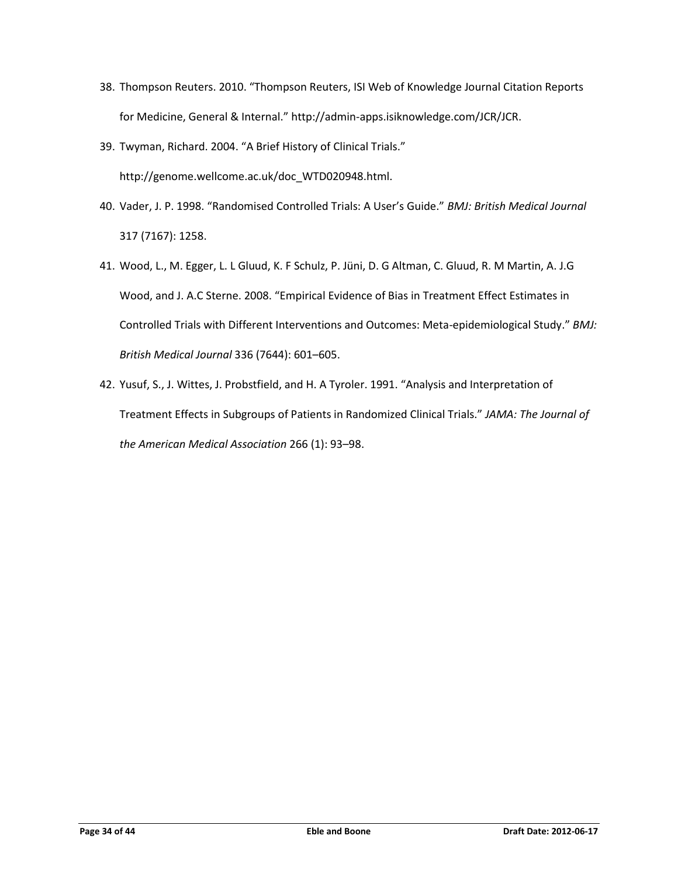- 38. Thompson Reuters. 2010. "Thompson Reuters, ISI Web of Knowledge Journal Citation Reports for Medicine, General & Internal." http://admin-apps.isiknowledge.com/JCR/JCR.
- 39. Twyman, Richard. 2004. "A Brief History of Clinical Trials." http://genome.wellcome.ac.uk/doc\_WTD020948.html.
- 40. Vader, J. P. 1998. "Randomised Controlled Trials: A User's Guide." *BMJ: British Medical Journal* 317 (7167): 1258.
- 41. Wood, L., M. Egger, L. L Gluud, K. F Schulz, P. Jüni, D. G Altman, C. Gluud, R. M Martin, A. J.G Wood, and J. A.C Sterne. 2008. "Empirical Evidence of Bias in Treatment Effect Estimates in Controlled Trials with Different Interventions and Outcomes: Meta-epidemiological Study." *BMJ: British Medical Journal* 336 (7644): 601–605.
- 42. Yusuf, S., J. Wittes, J. Probstfield, and H. A Tyroler. 1991. "Analysis and Interpretation of Treatment Effects in Subgroups of Patients in Randomized Clinical Trials." *JAMA: The Journal of the American Medical Association* 266 (1): 93–98.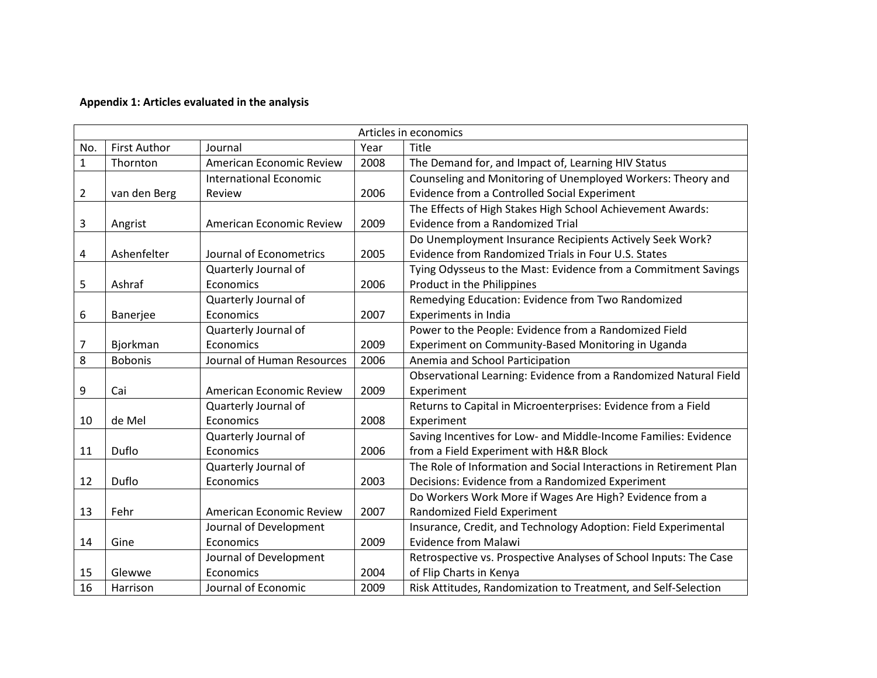# **Appendix 1: Articles evaluated in the analysis**

|     | Articles in economics |                               |      |                                                                    |  |
|-----|-----------------------|-------------------------------|------|--------------------------------------------------------------------|--|
| No. | <b>First Author</b>   | Journal                       | Year | Title                                                              |  |
| 1   | Thornton              | American Economic Review      | 2008 | The Demand for, and Impact of, Learning HIV Status                 |  |
|     |                       | <b>International Economic</b> |      | Counseling and Monitoring of Unemployed Workers: Theory and        |  |
| 2   | van den Berg          | Review                        | 2006 | Evidence from a Controlled Social Experiment                       |  |
|     |                       |                               |      | The Effects of High Stakes High School Achievement Awards:         |  |
| 3   | Angrist               | American Economic Review      | 2009 | Evidence from a Randomized Trial                                   |  |
|     |                       |                               |      | Do Unemployment Insurance Recipients Actively Seek Work?           |  |
| 4   | Ashenfelter           | Journal of Econometrics       | 2005 | Evidence from Randomized Trials in Four U.S. States                |  |
|     |                       | Quarterly Journal of          |      | Tying Odysseus to the Mast: Evidence from a Commitment Savings     |  |
| 5   | Ashraf                | Economics                     | 2006 | Product in the Philippines                                         |  |
|     |                       | Quarterly Journal of          |      | Remedying Education: Evidence from Two Randomized                  |  |
| 6   | Banerjee              | Economics                     | 2007 | <b>Experiments in India</b>                                        |  |
|     |                       | Quarterly Journal of          |      | Power to the People: Evidence from a Randomized Field              |  |
| 7   | Bjorkman              | Economics                     | 2009 | Experiment on Community-Based Monitoring in Uganda                 |  |
| 8   | <b>Bobonis</b>        | Journal of Human Resources    | 2006 | Anemia and School Participation                                    |  |
|     |                       |                               |      | Observational Learning: Evidence from a Randomized Natural Field   |  |
| 9   | Cai                   | American Economic Review      | 2009 | Experiment                                                         |  |
|     |                       | Quarterly Journal of          |      | Returns to Capital in Microenterprises: Evidence from a Field      |  |
| 10  | de Mel                | Economics                     | 2008 | Experiment                                                         |  |
|     |                       | Quarterly Journal of          |      | Saving Incentives for Low- and Middle-Income Families: Evidence    |  |
| 11  | Duflo                 | Economics                     | 2006 | from a Field Experiment with H&R Block                             |  |
|     |                       | Quarterly Journal of          |      | The Role of Information and Social Interactions in Retirement Plan |  |
| 12  | Duflo                 | Economics                     | 2003 | Decisions: Evidence from a Randomized Experiment                   |  |
|     |                       |                               |      | Do Workers Work More if Wages Are High? Evidence from a            |  |
| 13  | Fehr                  | American Economic Review      | 2007 | Randomized Field Experiment                                        |  |
|     |                       | Journal of Development        |      | Insurance, Credit, and Technology Adoption: Field Experimental     |  |
| 14  | Gine                  | Economics                     | 2009 | <b>Evidence from Malawi</b>                                        |  |
|     |                       | Journal of Development        |      | Retrospective vs. Prospective Analyses of School Inputs: The Case  |  |
| 15  | Glewwe                | Economics                     | 2004 | of Flip Charts in Kenya                                            |  |
| 16  | Harrison              | Journal of Economic           | 2009 | Risk Attitudes, Randomization to Treatment, and Self-Selection     |  |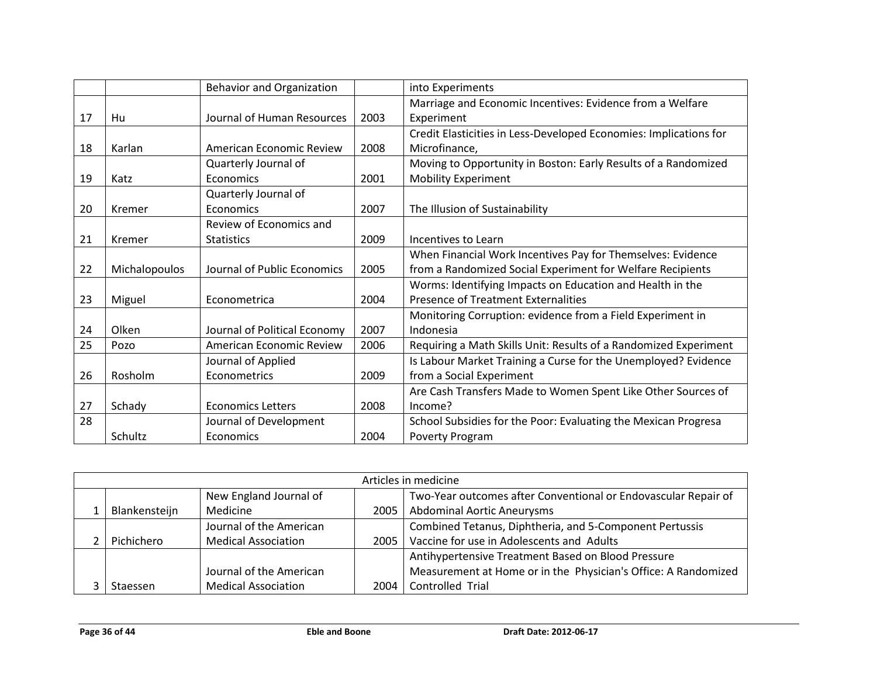|    |               | <b>Behavior and Organization</b> |      | into Experiments                                                  |
|----|---------------|----------------------------------|------|-------------------------------------------------------------------|
|    |               |                                  |      | Marriage and Economic Incentives: Evidence from a Welfare         |
| 17 | Hu            | Journal of Human Resources       | 2003 | Experiment                                                        |
|    |               |                                  |      | Credit Elasticities in Less-Developed Economies: Implications for |
| 18 | Karlan        | American Economic Review         | 2008 | Microfinance,                                                     |
|    |               | Quarterly Journal of             |      | Moving to Opportunity in Boston: Early Results of a Randomized    |
| 19 | Katz          | Economics                        | 2001 | <b>Mobility Experiment</b>                                        |
|    |               | Quarterly Journal of             |      |                                                                   |
| 20 | Kremer        | Economics                        | 2007 | The Illusion of Sustainability                                    |
|    |               | Review of Economics and          |      |                                                                   |
| 21 | Kremer        | <b>Statistics</b>                | 2009 | Incentives to Learn                                               |
|    |               |                                  |      | When Financial Work Incentives Pay for Themselves: Evidence       |
| 22 | Michalopoulos | Journal of Public Economics      | 2005 | from a Randomized Social Experiment for Welfare Recipients        |
|    |               |                                  |      | Worms: Identifying Impacts on Education and Health in the         |
| 23 | Miguel        | Econometrica                     | 2004 | <b>Presence of Treatment Externalities</b>                        |
|    |               |                                  |      | Monitoring Corruption: evidence from a Field Experiment in        |
| 24 | Olken         | Journal of Political Economy     | 2007 | Indonesia                                                         |
| 25 | Pozo          | American Economic Review         | 2006 | Requiring a Math Skills Unit: Results of a Randomized Experiment  |
|    |               | Journal of Applied               |      | Is Labour Market Training a Curse for the Unemployed? Evidence    |
| 26 | Rosholm       | Econometrics                     | 2009 | from a Social Experiment                                          |
|    |               |                                  |      | Are Cash Transfers Made to Women Spent Like Other Sources of      |
| 27 | Schady        | <b>Economics Letters</b>         | 2008 | Income?                                                           |
| 28 |               | Journal of Development           |      | School Subsidies for the Poor: Evaluating the Mexican Progresa    |
|    | Schultz       | Economics                        | 2004 | Poverty Program                                                   |

| Articles in medicine |                            |      |                                                                |  |  |
|----------------------|----------------------------|------|----------------------------------------------------------------|--|--|
|                      | New England Journal of     |      | Two-Year outcomes after Conventional or Endovascular Repair of |  |  |
| Blankensteijn        | Medicine                   | 2005 | <b>Abdominal Aortic Aneurysms</b>                              |  |  |
|                      | Journal of the American    |      | Combined Tetanus, Diphtheria, and 5-Component Pertussis        |  |  |
| Pichichero           | <b>Medical Association</b> | 2005 | Vaccine for use in Adolescents and Adults                      |  |  |
|                      |                            |      | Antihypertensive Treatment Based on Blood Pressure             |  |  |
|                      | Journal of the American    |      | Measurement at Home or in the Physician's Office: A Randomized |  |  |
| Staessen             | <b>Medical Association</b> | 2004 | Controlled Trial                                               |  |  |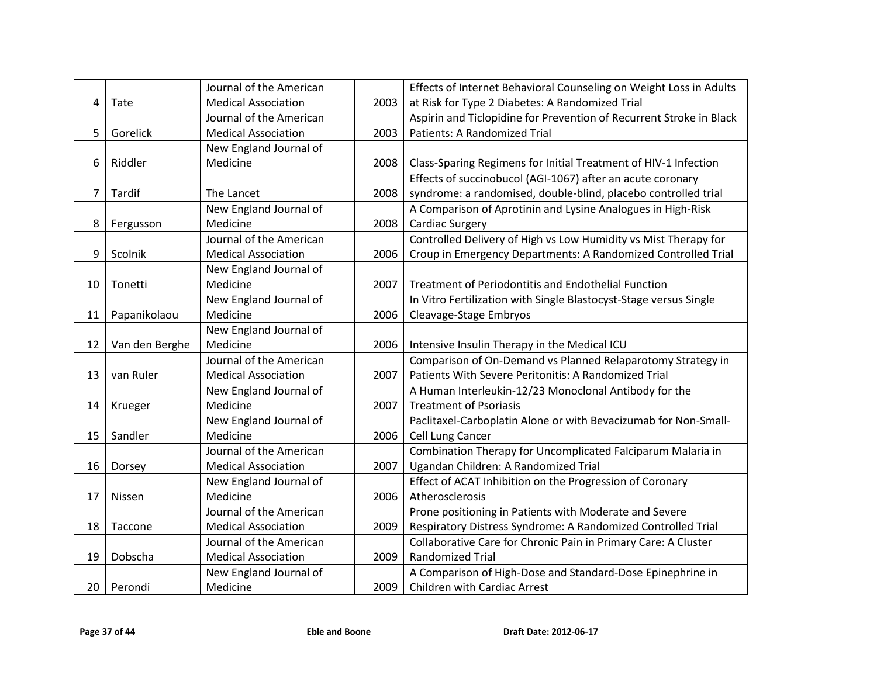|                | Journal of the American    |                                                  | Effects of Internet Behavioral Counseling on Weight Loss in Adults  |
|----------------|----------------------------|--------------------------------------------------|---------------------------------------------------------------------|
| Tate           | <b>Medical Association</b> | 2003                                             | at Risk for Type 2 Diabetes: A Randomized Trial                     |
|                | Journal of the American    |                                                  | Aspirin and Ticlopidine for Prevention of Recurrent Stroke in Black |
| Gorelick       | <b>Medical Association</b> | 2003                                             | Patients: A Randomized Trial                                        |
|                | New England Journal of     |                                                  |                                                                     |
| Riddler        | Medicine                   | 2008                                             | Class-Sparing Regimens for Initial Treatment of HIV-1 Infection     |
|                |                            |                                                  | Effects of succinobucol (AGI-1067) after an acute coronary          |
| Tardif         | The Lancet                 | 2008                                             | syndrome: a randomised, double-blind, placebo controlled trial      |
|                | New England Journal of     |                                                  | A Comparison of Aprotinin and Lysine Analogues in High-Risk         |
| Fergusson      | Medicine                   | 2008                                             | <b>Cardiac Surgery</b>                                              |
|                | Journal of the American    |                                                  | Controlled Delivery of High vs Low Humidity vs Mist Therapy for     |
| Scolnik        | <b>Medical Association</b> | 2006                                             | Croup in Emergency Departments: A Randomized Controlled Trial       |
|                |                            |                                                  |                                                                     |
| Tonetti        | Medicine                   | 2007                                             | Treatment of Periodontitis and Endothelial Function                 |
|                |                            |                                                  | In Vitro Fertilization with Single Blastocyst-Stage versus Single   |
| Papanikolaou   | Medicine                   | 2006                                             | Cleavage-Stage Embryos                                              |
|                | New England Journal of     |                                                  |                                                                     |
| Van den Berghe | Medicine                   | 2006                                             | Intensive Insulin Therapy in the Medical ICU                        |
|                | Journal of the American    |                                                  | Comparison of On-Demand vs Planned Relaparotomy Strategy in         |
| van Ruler      | <b>Medical Association</b> | 2007                                             | Patients With Severe Peritonitis: A Randomized Trial                |
|                | New England Journal of     |                                                  | A Human Interleukin-12/23 Monoclonal Antibody for the               |
| Krueger        | Medicine                   | 2007                                             | <b>Treatment of Psoriasis</b>                                       |
|                | New England Journal of     |                                                  | Paclitaxel-Carboplatin Alone or with Bevacizumab for Non-Small-     |
| Sandler        | Medicine                   | 2006                                             | Cell Lung Cancer                                                    |
|                | Journal of the American    |                                                  | Combination Therapy for Uncomplicated Falciparum Malaria in         |
| Dorsey         | <b>Medical Association</b> | 2007                                             | Ugandan Children: A Randomized Trial                                |
|                | New England Journal of     |                                                  | Effect of ACAT Inhibition on the Progression of Coronary            |
| Nissen         | Medicine                   | 2006                                             | Atherosclerosis                                                     |
|                | Journal of the American    |                                                  | Prone positioning in Patients with Moderate and Severe              |
| Taccone        | <b>Medical Association</b> | 2009                                             | Respiratory Distress Syndrome: A Randomized Controlled Trial        |
|                | Journal of the American    |                                                  | Collaborative Care for Chronic Pain in Primary Care: A Cluster      |
| Dobscha        | <b>Medical Association</b> | 2009                                             | <b>Randomized Trial</b>                                             |
|                | New England Journal of     |                                                  | A Comparison of High-Dose and Standard-Dose Epinephrine in          |
| Perondi        | Medicine                   | 2009                                             | Children with Cardiac Arrest                                        |
|                |                            | New England Journal of<br>New England Journal of |                                                                     |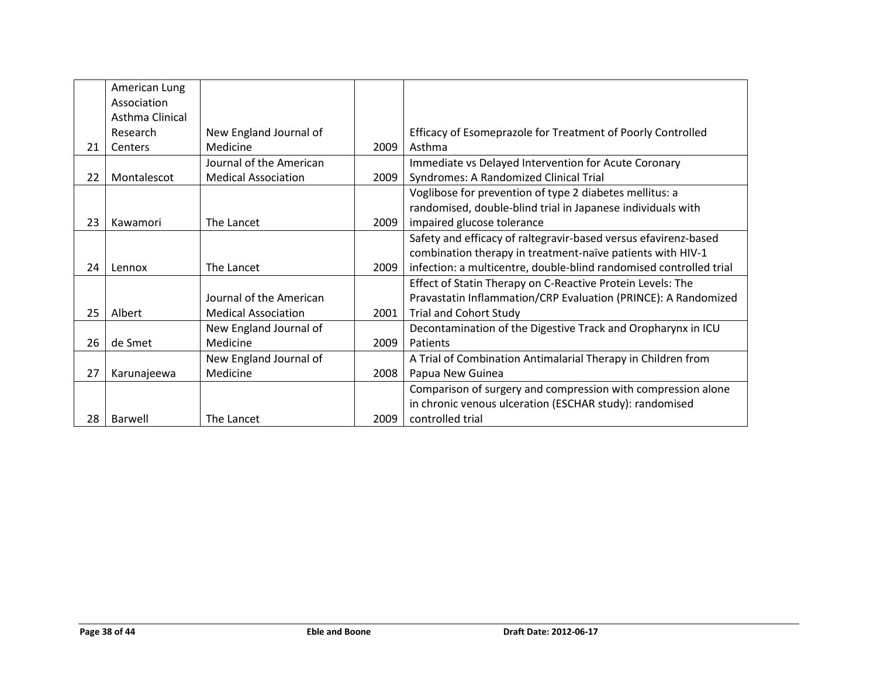|    | American Lung   |                            |      |                                                                    |
|----|-----------------|----------------------------|------|--------------------------------------------------------------------|
|    | Association     |                            |      |                                                                    |
|    | Asthma Clinical |                            |      |                                                                    |
|    | Research        | New England Journal of     |      | Efficacy of Esomeprazole for Treatment of Poorly Controlled        |
| 21 | Centers         | Medicine                   | 2009 | Asthma                                                             |
|    |                 | Journal of the American    |      | Immediate vs Delayed Intervention for Acute Coronary               |
| 22 | Montalescot     | <b>Medical Association</b> | 2009 | Syndromes: A Randomized Clinical Trial                             |
|    |                 |                            |      | Voglibose for prevention of type 2 diabetes mellitus: a            |
|    |                 |                            |      | randomised, double-blind trial in Japanese individuals with        |
| 23 | Kawamori        | The Lancet                 | 2009 | impaired glucose tolerance                                         |
|    |                 |                            |      | Safety and efficacy of raltegravir-based versus efavirenz-based    |
|    |                 |                            |      | combination therapy in treatment-naïve patients with HIV-1         |
| 24 | Lennox          | The Lancet                 | 2009 | infection: a multicentre, double-blind randomised controlled trial |
|    |                 |                            |      | Effect of Statin Therapy on C-Reactive Protein Levels: The         |
|    |                 | Journal of the American    |      | Pravastatin Inflammation/CRP Evaluation (PRINCE): A Randomized     |
| 25 | Albert          | <b>Medical Association</b> | 2001 | <b>Trial and Cohort Study</b>                                      |
|    |                 | New England Journal of     |      | Decontamination of the Digestive Track and Oropharynx in ICU       |
| 26 | de Smet         | Medicine                   | 2009 | Patients                                                           |
|    |                 | New England Journal of     |      | A Trial of Combination Antimalarial Therapy in Children from       |
| 27 | Karunajeewa     | Medicine                   | 2008 | Papua New Guinea                                                   |
|    |                 |                            |      | Comparison of surgery and compression with compression alone       |
|    |                 |                            |      | in chronic venous ulceration (ESCHAR study): randomised            |
| 28 | Barwell         | The Lancet                 | 2009 | controlled trial                                                   |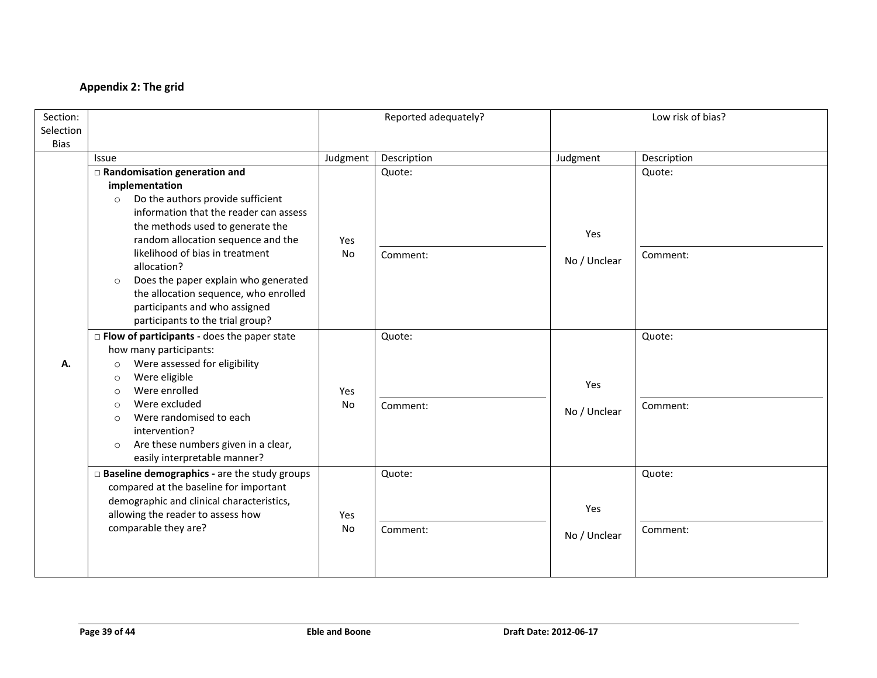# **Appendix 2: The grid**

| Section:    |                                                    |          | Reported adequately? |              | Low risk of bias? |  |
|-------------|----------------------------------------------------|----------|----------------------|--------------|-------------------|--|
| Selection   |                                                    |          |                      |              |                   |  |
| <b>Bias</b> |                                                    |          |                      |              |                   |  |
|             | Issue                                              | Judgment | Description          | Judgment     | Description       |  |
|             | □ Randomisation generation and                     |          | Quote:               |              | Quote:            |  |
|             | implementation                                     |          |                      |              |                   |  |
|             | Do the authors provide sufficient<br>$\circ$       |          |                      |              |                   |  |
|             | information that the reader can assess             |          |                      |              |                   |  |
|             | the methods used to generate the                   |          |                      | Yes          |                   |  |
|             | random allocation sequence and the                 | Yes      |                      |              |                   |  |
|             | likelihood of bias in treatment<br>allocation?     | No       | Comment:             | No / Unclear | Comment:          |  |
|             | Does the paper explain who generated<br>$\circ$    |          |                      |              |                   |  |
|             | the allocation sequence, who enrolled              |          |                      |              |                   |  |
|             | participants and who assigned                      |          |                      |              |                   |  |
|             | participants to the trial group?                   |          |                      |              |                   |  |
|             | $\Box$ Flow of participants - does the paper state |          | Quote:               |              | Quote:            |  |
|             | how many participants:                             |          |                      |              |                   |  |
| А.          | Were assessed for eligibility<br>$\circ$           |          |                      |              |                   |  |
|             | Were eligible<br>$\circ$                           |          |                      | Yes          |                   |  |
|             | Were enrolled<br>$\circ$                           | Yes      |                      |              |                   |  |
|             | Were excluded<br>$\circ$                           | No       | Comment:             | No / Unclear | Comment:          |  |
|             | Were randomised to each<br>$\circ$                 |          |                      |              |                   |  |
|             | intervention?                                      |          |                      |              |                   |  |
|             | Are these numbers given in a clear,<br>$\circ$     |          |                      |              |                   |  |
|             | easily interpretable manner?                       |          |                      |              |                   |  |
|             | □ Baseline demographics - are the study groups     |          | Quote:               |              | Quote:            |  |
|             | compared at the baseline for important             |          |                      |              |                   |  |
|             | demographic and clinical characteristics,          |          |                      | Yes          |                   |  |
|             | allowing the reader to assess how                  | Yes      |                      |              |                   |  |
|             | comparable they are?                               | No       | Comment:             | No / Unclear | Comment:          |  |
|             |                                                    |          |                      |              |                   |  |
|             |                                                    |          |                      |              |                   |  |
|             |                                                    |          |                      |              |                   |  |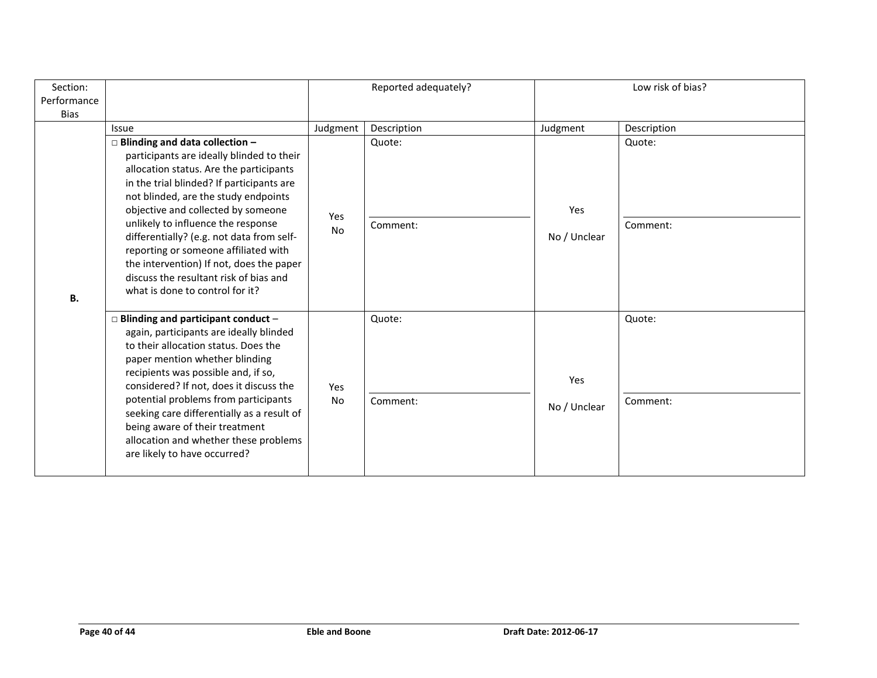| Section:<br>Performance |                                                                                                                                                                                                                                                                                                                                                                                                                                                                                                              | Reported adequately? |                    | Low risk of bias?   |                    |
|-------------------------|--------------------------------------------------------------------------------------------------------------------------------------------------------------------------------------------------------------------------------------------------------------------------------------------------------------------------------------------------------------------------------------------------------------------------------------------------------------------------------------------------------------|----------------------|--------------------|---------------------|--------------------|
| <b>Bias</b>             |                                                                                                                                                                                                                                                                                                                                                                                                                                                                                                              |                      |                    |                     |                    |
|                         | Issue                                                                                                                                                                                                                                                                                                                                                                                                                                                                                                        | Judgment             | Description        | Judgment            | Description        |
| В.                      | $\Box$ Blinding and data collection -<br>participants are ideally blinded to their<br>allocation status. Are the participants<br>in the trial blinded? If participants are<br>not blinded, are the study endpoints<br>objective and collected by someone<br>unlikely to influence the response<br>differentially? (e.g. not data from self-<br>reporting or someone affiliated with<br>the intervention) If not, does the paper<br>discuss the resultant risk of bias and<br>what is done to control for it? | Yes<br>No            | Quote:<br>Comment: | Yes<br>No / Unclear | Quote:<br>Comment: |
|                         | $\Box$ Blinding and participant conduct -<br>again, participants are ideally blinded<br>to their allocation status. Does the<br>paper mention whether blinding<br>recipients was possible and, if so,<br>considered? If not, does it discuss the<br>potential problems from participants<br>seeking care differentially as a result of<br>being aware of their treatment<br>allocation and whether these problems<br>are likely to have occurred?                                                            | Yes<br>No            | Quote:<br>Comment: | Yes<br>No / Unclear | Quote:<br>Comment: |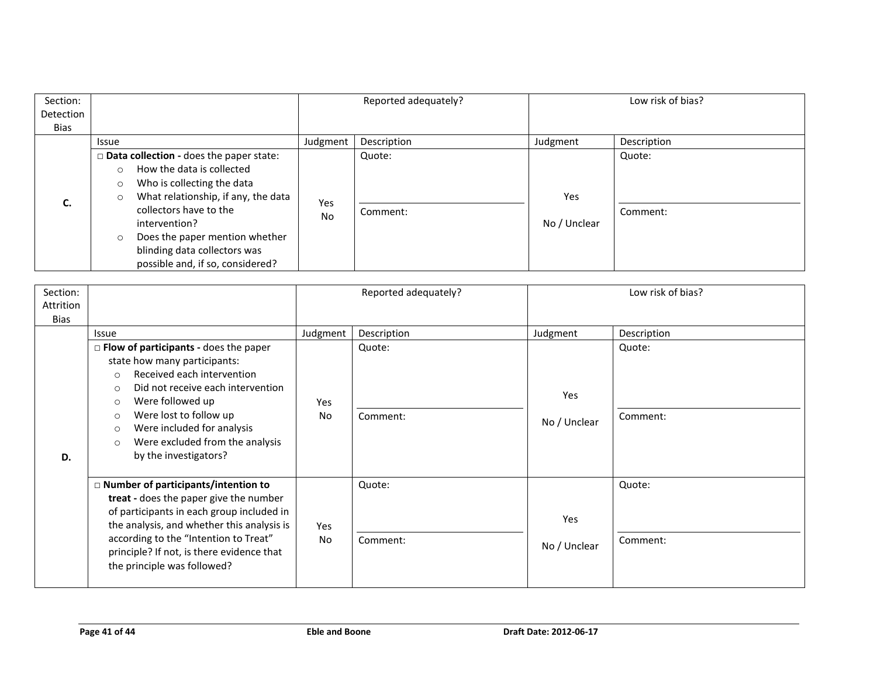| Section:         |                                                                                                                                                                                                                                                                                                                                        |                  | Reported adequately? |                     | Low risk of bias?  |
|------------------|----------------------------------------------------------------------------------------------------------------------------------------------------------------------------------------------------------------------------------------------------------------------------------------------------------------------------------------|------------------|----------------------|---------------------|--------------------|
| Detection        |                                                                                                                                                                                                                                                                                                                                        |                  |                      |                     |                    |
| Bias             |                                                                                                                                                                                                                                                                                                                                        |                  |                      |                     |                    |
|                  | Issue                                                                                                                                                                                                                                                                                                                                  | Judgment         | Description          | Judgment            | Description        |
| $\epsilon$<br>Ć. | Data collection - does the paper state:<br>How the data is collected<br>$\circ$<br>Who is collecting the data<br>$\circ$<br>What relationship, if any, the data<br>$\circ$<br>collectors have to the<br>intervention?<br>Does the paper mention whether<br>$\circ$<br>blinding data collectors was<br>possible and, if so, considered? | Yes<br><b>No</b> | Quote:<br>Comment:   | Yes<br>No / Unclear | Quote:<br>Comment: |

| Section:<br>Attrition<br>Bias |                                                                                                                                                                                                                                                                                                                                                           |           | Reported adequately? |                     | Low risk of bias?  |
|-------------------------------|-----------------------------------------------------------------------------------------------------------------------------------------------------------------------------------------------------------------------------------------------------------------------------------------------------------------------------------------------------------|-----------|----------------------|---------------------|--------------------|
|                               | <b>Issue</b>                                                                                                                                                                                                                                                                                                                                              | Judgment  | Description          | Judgment            | Description        |
| D.                            | $\Box$ Flow of participants - does the paper<br>state how many participants:<br>Received each intervention<br>$\circ$<br>Did not receive each intervention<br>$\circ$<br>Were followed up<br>$\circ$<br>Were lost to follow up<br>$\circ$<br>Were included for analysis<br>$\circ$<br>Were excluded from the analysis<br>$\circ$<br>by the investigators? | Yes<br>No | Quote:<br>Comment:   | Yes<br>No / Unclear | Quote:<br>Comment: |
|                               | □ Number of participants/intention to<br>treat - does the paper give the number<br>of participants in each group included in<br>the analysis, and whether this analysis is<br>according to the "Intention to Treat"<br>principle? If not, is there evidence that<br>the principle was followed?                                                           | Yes<br>No | Quote:<br>Comment:   | Yes<br>No / Unclear | Quote:<br>Comment: |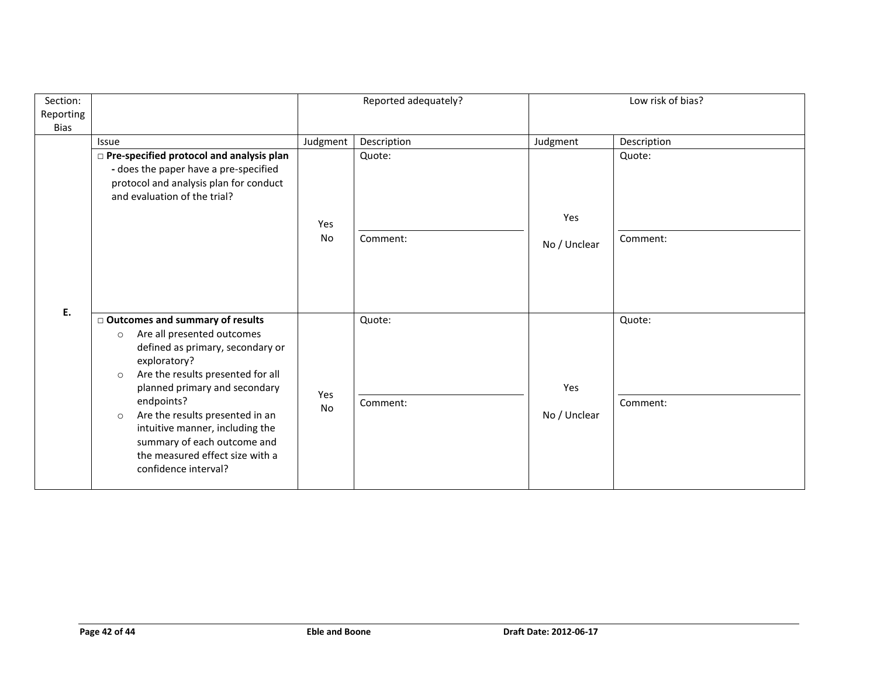| Section:<br>Reporting |                                                                                                                                                                                                                                                                                                                                                                                                          |           | Reported adequately? |                     | Low risk of bias?  |  |
|-----------------------|----------------------------------------------------------------------------------------------------------------------------------------------------------------------------------------------------------------------------------------------------------------------------------------------------------------------------------------------------------------------------------------------------------|-----------|----------------------|---------------------|--------------------|--|
| <b>Bias</b>           |                                                                                                                                                                                                                                                                                                                                                                                                          |           |                      |                     |                    |  |
|                       | <b>Issue</b>                                                                                                                                                                                                                                                                                                                                                                                             | Judgment  | Description          | Judgment            | Description        |  |
|                       | □ Pre-specified protocol and analysis plan<br>- does the paper have a pre-specified<br>protocol and analysis plan for conduct<br>and evaluation of the trial?                                                                                                                                                                                                                                            |           | Quote:               | Yes                 | Quote:             |  |
| Ε.                    |                                                                                                                                                                                                                                                                                                                                                                                                          | Yes<br>No | Comment:             | No / Unclear        | Comment:           |  |
|                       | □ Outcomes and summary of results<br>Are all presented outcomes<br>$\circ$<br>defined as primary, secondary or<br>exploratory?<br>Are the results presented for all<br>$\circ$<br>planned primary and secondary<br>endpoints?<br>Are the results presented in an<br>$\circ$<br>intuitive manner, including the<br>summary of each outcome and<br>the measured effect size with a<br>confidence interval? | Yes<br>No | Quote:<br>Comment:   | Yes<br>No / Unclear | Quote:<br>Comment: |  |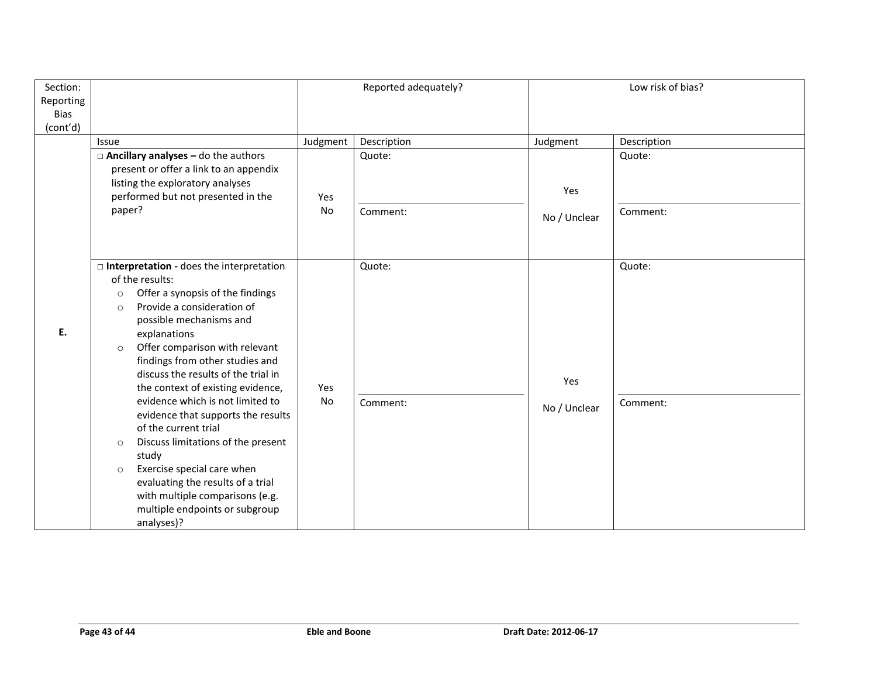| Section:<br>Reporting<br><b>Bias</b> |                                                                                                                                                                                                                                                                                                                                                                                                                                                                                                                                                                                                                                                                                           |                       | Reported adequately?              |                                 | Low risk of bias?                 |
|--------------------------------------|-------------------------------------------------------------------------------------------------------------------------------------------------------------------------------------------------------------------------------------------------------------------------------------------------------------------------------------------------------------------------------------------------------------------------------------------------------------------------------------------------------------------------------------------------------------------------------------------------------------------------------------------------------------------------------------------|-----------------------|-----------------------------------|---------------------------------|-----------------------------------|
| (cont'd)                             | Issue<br>$\Box$ Ancillary analyses - do the authors<br>present or offer a link to an appendix<br>listing the exploratory analyses<br>performed but not presented in the<br>paper?                                                                                                                                                                                                                                                                                                                                                                                                                                                                                                         | Judgment<br>Yes<br>No | Description<br>Quote:<br>Comment: | Judgment<br>Yes<br>No / Unclear | Description<br>Quote:<br>Comment: |
| Ε.                                   | □ Interpretation - does the interpretation<br>of the results:<br>Offer a synopsis of the findings<br>$\circ$<br>Provide a consideration of<br>$\circ$<br>possible mechanisms and<br>explanations<br>Offer comparison with relevant<br>$\circ$<br>findings from other studies and<br>discuss the results of the trial in<br>the context of existing evidence,<br>evidence which is not limited to<br>evidence that supports the results<br>of the current trial<br>Discuss limitations of the present<br>$\circ$<br>study<br>Exercise special care when<br>$\circ$<br>evaluating the results of a trial<br>with multiple comparisons (e.g.<br>multiple endpoints or subgroup<br>analyses)? | Yes<br>No             | Quote:<br>Comment:                | Yes<br>No / Unclear             | Quote:<br>Comment:                |